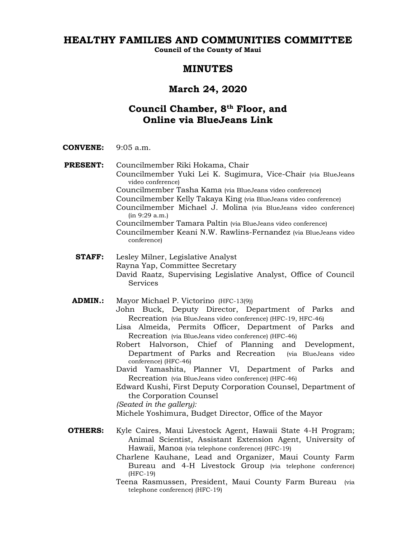# **HEALTHY FAMILIES AND COMMUNITIES COMMITTEE**

**Council of the County of Maui**

## **MINUTES**

# **March 24, 2020**

# **Council Chamber, 8th Floor, and Online via BlueJeans Link**

### **CONVENE:** 9:05 a.m.

**PRESENT:** Councilmember Riki Hokama, Chair Councilmember Yuki Lei K. Sugimura, Vice-Chair (via BlueJeans video conference) Councilmember Tasha Kama (via BlueJeans video conference) Councilmember Kelly Takaya King (via BlueJeans video conference) Councilmember Michael J. Molina (via BlueJeans video conference) (in 9:29 a.m.) Councilmember Tamara Paltin (via BlueJeans video conference) Councilmember Keani N.W. Rawlins-Fernandez (via BlueJeans video conference)

- **STAFF:** Lesley Milner, Legislative Analyst Rayna Yap, Committee Secretary David Raatz, Supervising Legislative Analyst, Office of Council Services
- **ADMIN.:** Mayor Michael P. Victorino (HFC-13(9)) John Buck, Deputy Director, Department of Parks and Recreation (via BlueJeans video conference) (HFC-19, HFC-46)
	- Lisa Almeida, Permits Officer, Department of Parks and Recreation (via BlueJeans video conference) (HFC-46)
	- Robert Halvorson, Chief of Planning and Development, Department of Parks and Recreation (via BlueJeans video conference) (HFC-46)
	- David Yamashita, Planner VI, Department of Parks and Recreation (via BlueJeans video conference) (HFC-46)
	- Edward Kushi, First Deputy Corporation Counsel, Department of the Corporation Counsel

*(Seated in the gallery):*

- Michele Yoshimura, Budget Director, Office of the Mayor
- **OTHERS:** Kyle Caires, Maui Livestock Agent, Hawaii State 4-H Program; Animal Scientist, Assistant Extension Agent, University of Hawaii, Manoa (via telephone conference) (HFC-19)
	- Charlene Kauhane, Lead and Organizer, Maui County Farm Bureau and 4-H Livestock Group (via telephone conference) (HFC-19)
	- Teena Rasmussen, President, Maui County Farm Bureau (via telephone conference) (HFC-19)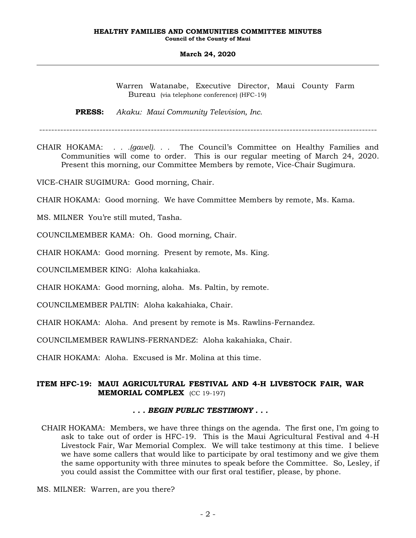Warren Watanabe, Executive Director, Maui County Farm Bureau (via telephone conference) (HFC-19)

**PRESS:** *Akaku: Maui Community Television, Inc.*

----------------------------------------------------------------------------------------------------------------

CHAIR HOKAMA: *. . .(gavel). . .* The Council's Committee on Healthy Families and Communities will come to order. This is our regular meeting of March 24, 2020. Present this morning, our Committee Members by remote, Vice-Chair Sugimura.

VICE-CHAIR SUGIMURA: Good morning, Chair.

CHAIR HOKAMA: Good morning. We have Committee Members by remote, Ms. Kama.

MS. MILNER You're still muted, Tasha.

COUNCILMEMBER KAMA: Oh. Good morning, Chair.

CHAIR HOKAMA: Good morning. Present by remote, Ms. King.

COUNCILMEMBER KING: Aloha kakahiaka.

CHAIR HOKAMA: Good morning, aloha. Ms. Paltin, by remote.

COUNCILMEMBER PALTIN: Aloha kakahiaka, Chair.

CHAIR HOKAMA: Aloha. And present by remote is Ms. Rawlins-Fernandez.

COUNCILMEMBER RAWLINS-FERNANDEZ: Aloha kakahiaka, Chair.

CHAIR HOKAMA: Aloha. Excused is Mr. Molina at this time.

### **ITEM HFC-19: MAUI AGRICULTURAL FESTIVAL AND 4-H LIVESTOCK FAIR, WAR MEMORIAL COMPLEX** (CC 19-197)

### *. . . BEGIN PUBLIC TESTIMONY . . .*

 CHAIR HOKAMA: Members, we have three things on the agenda. The first one, I'm going to ask to take out of order is HFC-19. This is the Maui Agricultural Festival and 4-H Livestock Fair, War Memorial Complex. We will take testimony at this time. I believe we have some callers that would like to participate by oral testimony and we give them the same opportunity with three minutes to speak before the Committee. So, Lesley, if you could assist the Committee with our first oral testifier, please, by phone.

MS. MILNER: Warren, are you there?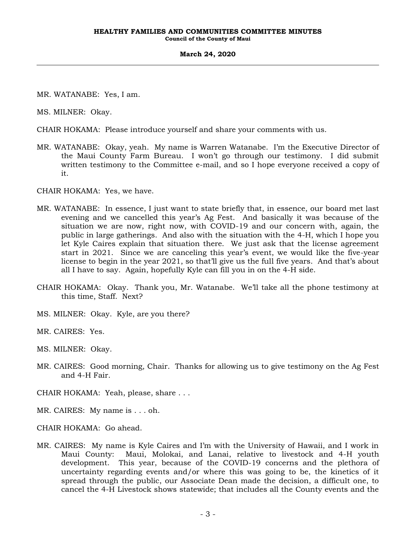MR. WATANABE: Yes, I am.

MS. MILNER: Okay.

CHAIR HOKAMA: Please introduce yourself and share your comments with us.

MR. WATANABE: Okay, yeah. My name is Warren Watanabe. I'm the Executive Director of the Maui County Farm Bureau. I won't go through our testimony. I did submit written testimony to the Committee e-mail, and so I hope everyone received a copy of it.

CHAIR HOKAMA: Yes, we have.

- MR. WATANABE: In essence, I just want to state briefly that, in essence, our board met last evening and we cancelled this year's Ag Fest. And basically it was because of the situation we are now, right now, with COVID-19 and our concern with, again, the public in large gatherings. And also with the situation with the 4-H, which I hope you let Kyle Caires explain that situation there. We just ask that the license agreement start in 2021. Since we are canceling this year's event, we would like the five-year license to begin in the year 2021, so that'll give us the full five years. And that's about all I have to say. Again, hopefully Kyle can fill you in on the 4-H side.
- CHAIR HOKAMA: Okay. Thank you, Mr. Watanabe. We'll take all the phone testimony at this time, Staff. Next?
- MS. MILNER: Okay. Kyle, are you there?
- MR. CAIRES: Yes.

MS. MILNER: Okay.

MR. CAIRES: Good morning, Chair. Thanks for allowing us to give testimony on the Ag Fest and 4-H Fair.

CHAIR HOKAMA: Yeah, please, share . . .

MR. CAIRES: My name is . . . oh.

CHAIR HOKAMA: Go ahead.

MR. CAIRES: My name is Kyle Caires and I'm with the University of Hawaii, and I work in Maui County: Maui, Molokai, and Lanai, relative to livestock and 4-H youth development. This year, because of the COVID-19 concerns and the plethora of uncertainty regarding events and/or where this was going to be, the kinetics of it spread through the public, our Associate Dean made the decision, a difficult one, to cancel the 4-H Livestock shows statewide; that includes all the County events and the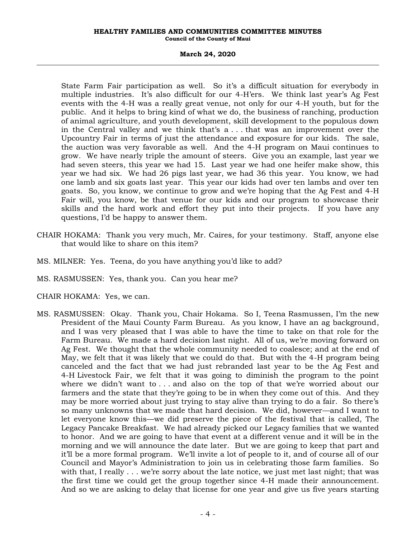### **March 24, 2020**

State Farm Fair participation as well. So it's a difficult situation for everybody in multiple industries. It's also difficult for our 4-H'ers. We think last year's Ag Fest events with the 4-H was a really great venue, not only for our 4-H youth, but for the public. And it helps to bring kind of what we do, the business of ranching, production of animal agriculture, and youth development, skill development to the populous down in the Central valley and we think that's a . . . that was an improvement over the Upcountry Fair in terms of just the attendance and exposure for our kids. The sale, the auction was very favorable as well. And the 4-H program on Maui continues to grow. We have nearly triple the amount of steers. Give you an example, last year we had seven steers, this year we had 15. Last year we had one heifer make show, this year we had six. We had 26 pigs last year, we had 36 this year. You know, we had one lamb and six goats last year. This year our kids had over ten lambs and over ten goats. So, you know, we continue to grow and we're hoping that the Ag Fest and 4-H Fair will, you know, be that venue for our kids and our program to showcase their skills and the hard work and effort they put into their projects. If you have any questions, I'd be happy to answer them.

- CHAIR HOKAMA: Thank you very much, Mr. Caires, for your testimony. Staff, anyone else that would like to share on this item?
- MS. MILNER: Yes. Teena, do you have anything you'd like to add?
- MS. RASMUSSEN: Yes, thank you. Can you hear me?
- CHAIR HOKAMA: Yes, we can.
- MS. RASMUSSEN: Okay. Thank you, Chair Hokama. So I, Teena Rasmussen, I'm the new President of the Maui County Farm Bureau. As you know, I have an ag background, and I was very pleased that I was able to have the time to take on that role for the Farm Bureau. We made a hard decision last night. All of us, we're moving forward on Ag Fest. We thought that the whole community needed to coalesce; and at the end of May, we felt that it was likely that we could do that. But with the 4-H program being canceled and the fact that we had just rebranded last year to be the Ag Fest and 4-H Livestock Fair, we felt that it was going to diminish the program to the point where we didn't want to . . . and also on the top of that we're worried about our farmers and the state that they're going to be in when they come out of this. And they may be more worried about just trying to stay alive than trying to do a fair. So there's so many unknowns that we made that hard decision. We did, however—and I want to let everyone know this—we did preserve the piece of the festival that is called, The Legacy Pancake Breakfast. We had already picked our Legacy families that we wanted to honor. And we are going to have that event at a different venue and it will be in the morning and we will announce the date later. But we are going to keep that part and it'll be a more formal program. We'll invite a lot of people to it, and of course all of our Council and Mayor's Administration to join us in celebrating those farm families. So with that, I really . . . we're sorry about the late notice, we just met last night; that was the first time we could get the group together since 4-H made their announcement. And so we are asking to delay that license for one year and give us five years starting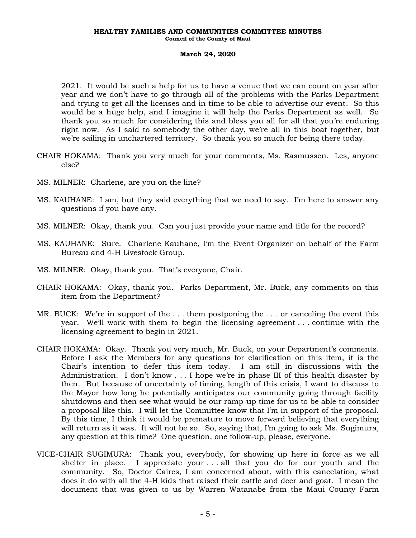2021. It would be such a help for us to have a venue that we can count on year after year and we don't have to go through all of the problems with the Parks Department and trying to get all the licenses and in time to be able to advertise our event. So this would be a huge help, and I imagine it will help the Parks Department as well. So thank you so much for considering this and bless you all for all that you're enduring right now. As I said to somebody the other day, we're all in this boat together, but we're sailing in unchartered territory. So thank you so much for being there today.

- CHAIR HOKAMA: Thank you very much for your comments, Ms. Rasmussen. Les, anyone else?
- MS. MILNER: Charlene, are you on the line?
- MS. KAUHANE: I am, but they said everything that we need to say. I'm here to answer any questions if you have any.
- MS. MILNER: Okay, thank you. Can you just provide your name and title for the record?
- MS. KAUHANE: Sure. Charlene Kauhane, I'm the Event Organizer on behalf of the Farm Bureau and 4-H Livestock Group.
- MS. MILNER: Okay, thank you. That's everyone, Chair.
- CHAIR HOKAMA: Okay, thank you. Parks Department, Mr. Buck, any comments on this item from the Department?
- MR. BUCK: We're in support of the ... them postponing the ... or canceling the event this year. We'll work with them to begin the licensing agreement . . . continue with the licensing agreement to begin in 2021.
- CHAIR HOKAMA: Okay. Thank you very much, Mr. Buck, on your Department's comments. Before I ask the Members for any questions for clarification on this item, it is the Chair's intention to defer this item today. I am still in discussions with the Administration. I don't know . . . I hope we're in phase III of this health disaster by then. But because of uncertainty of timing, length of this crisis, I want to discuss to the Mayor how long he potentially anticipates our community going through facility shutdowns and then see what would be our ramp-up time for us to be able to consider a proposal like this. I will let the Committee know that I'm in support of the proposal. By this time, I think it would be premature to move forward believing that everything will return as it was. It will not be so. So, saying that, I'm going to ask Ms. Sugimura, any question at this time? One question, one follow-up, please, everyone.
- VICE-CHAIR SUGIMURA: Thank you, everybody, for showing up here in force as we all shelter in place. I appreciate your . . . all that you do for our youth and the community. So, Doctor Caires, I am concerned about, with this cancelation, what does it do with all the 4-H kids that raised their cattle and deer and goat. I mean the document that was given to us by Warren Watanabe from the Maui County Farm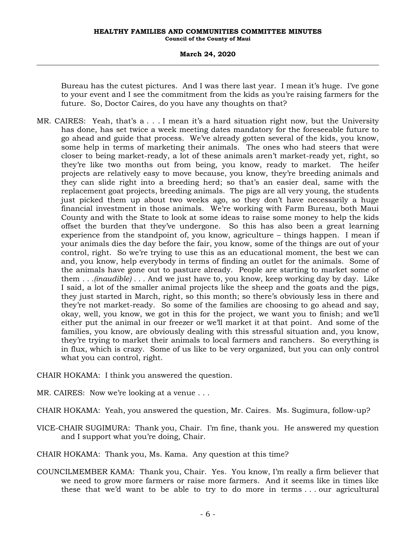### **March 24, 2020**

Bureau has the cutest pictures. And I was there last year. I mean it's huge. I've gone to your event and I see the commitment from the kids as you're raising farmers for the future. So, Doctor Caires, do you have any thoughts on that?

MR. CAIRES: Yeah, that's a . . . I mean it's a hard situation right now, but the University has done, has set twice a week meeting dates mandatory for the foreseeable future to go ahead and guide that process. We've already gotten several of the kids, you know, some help in terms of marketing their animals. The ones who had steers that were closer to being market-ready, a lot of these animals aren't market-ready yet, right, so they're like two months out from being, you know, ready to market. The heifer projects are relatively easy to move because, you know, they're breeding animals and they can slide right into a breeding herd; so that's an easier deal, same with the replacement goat projects, breeding animals. The pigs are all very young, the students just picked them up about two weeks ago, so they don't have necessarily a huge financial investment in those animals. We're working with Farm Bureau, both Maui County and with the State to look at some ideas to raise some money to help the kids offset the burden that they've undergone. So this has also been a great learning experience from the standpoint of, you know, agriculture – things happen. I mean if your animals dies the day before the fair, you know, some of the things are out of your control, right. So we're trying to use this as an educational moment, the best we can and, you know, help everybody in terms of finding an outlet for the animals. Some of the animals have gone out to pasture already. People are starting to market some of them *. . .(inaudible) . . .* And we just have to, you know, keep working day by day. Like I said, a lot of the smaller animal projects like the sheep and the goats and the pigs, they just started in March, right, so this month; so there's obviously less in there and they're not market-ready. So some of the families are choosing to go ahead and say, okay, well, you know, we got in this for the project, we want you to finish; and we'll either put the animal in our freezer or we'll market it at that point. And some of the families, you know, are obviously dealing with this stressful situation and, you know, they're trying to market their animals to local farmers and ranchers. So everything is in flux, which is crazy. Some of us like to be very organized, but you can only control what you can control, right.

CHAIR HOKAMA: I think you answered the question.

- MR. CAIRES: Now we're looking at a venue . . .
- CHAIR HOKAMA: Yeah, you answered the question, Mr. Caires. Ms. Sugimura, follow-up?
- VICE-CHAIR SUGIMURA: Thank you, Chair. I'm fine, thank you. He answered my question and I support what you're doing, Chair.

CHAIR HOKAMA: Thank you, Ms. Kama. Any question at this time?

COUNCILMEMBER KAMA: Thank you, Chair. Yes. You know, I'm really a firm believer that we need to grow more farmers or raise more farmers. And it seems like in times like these that we'd want to be able to try to do more in terms . . . our agricultural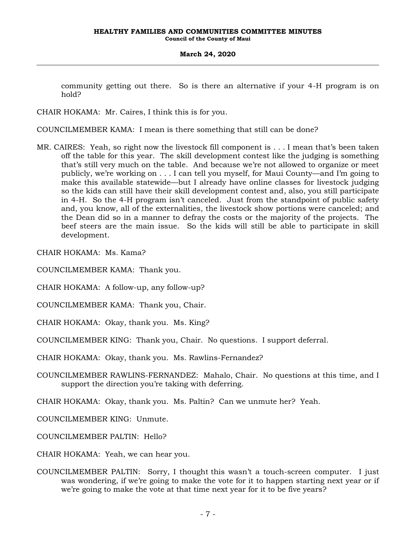community getting out there. So is there an alternative if your 4-H program is on hold?

CHAIR HOKAMA: Mr. Caires, I think this is for you.

COUNCILMEMBER KAMA: I mean is there something that still can be done?

MR. CAIRES: Yeah, so right now the livestock fill component is . . . I mean that's been taken off the table for this year. The skill development contest like the judging is something that's still very much on the table. And because we're not allowed to organize or meet publicly, we're working on . . . I can tell you myself, for Maui County—and I'm going to make this available statewide—but I already have online classes for livestock judging so the kids can still have their skill development contest and, also, you still participate in 4-H. So the 4-H program isn't canceled. Just from the standpoint of public safety and, you know, all of the externalities, the livestock show portions were canceled; and the Dean did so in a manner to defray the costs or the majority of the projects. The beef steers are the main issue. So the kids will still be able to participate in skill development.

CHAIR HOKAMA: Ms. Kama?

COUNCILMEMBER KAMA: Thank you.

CHAIR HOKAMA: A follow-up, any follow-up?

COUNCILMEMBER KAMA: Thank you, Chair.

CHAIR HOKAMA: Okay, thank you. Ms. King?

COUNCILMEMBER KING: Thank you, Chair. No questions. I support deferral.

CHAIR HOKAMA: Okay, thank you. Ms. Rawlins-Fernandez?

COUNCILMEMBER RAWLINS-FERNANDEZ: Mahalo, Chair. No questions at this time, and I support the direction you're taking with deferring.

CHAIR HOKAMA: Okay, thank you. Ms. Paltin? Can we unmute her? Yeah.

COUNCILMEMBER KING: Unmute.

COUNCILMEMBER PALTIN: Hello?

CHAIR HOKAMA: Yeah, we can hear you.

COUNCILMEMBER PALTIN: Sorry, I thought this wasn't a touch-screen computer. I just was wondering, if we're going to make the vote for it to happen starting next year or if we're going to make the vote at that time next year for it to be five years?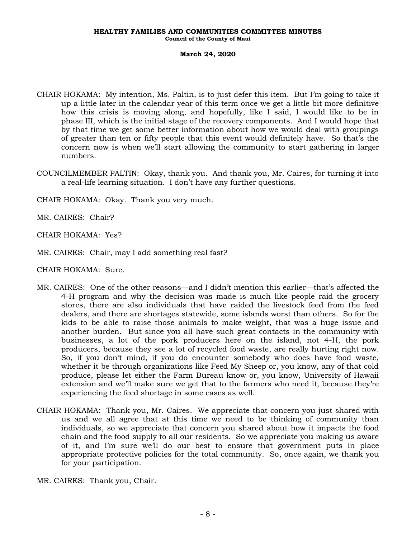- CHAIR HOKAMA: My intention, Ms. Paltin, is to just defer this item. But I'm going to take it up a little later in the calendar year of this term once we get a little bit more definitive how this crisis is moving along, and hopefully, like I said, I would like to be in phase III, which is the initial stage of the recovery components. And I would hope that by that time we get some better information about how we would deal with groupings of greater than ten or fifty people that this event would definitely have. So that's the concern now is when we'll start allowing the community to start gathering in larger numbers.
- COUNCILMEMBER PALTIN: Okay, thank you. And thank you, Mr. Caires, for turning it into a real-life learning situation. I don't have any further questions.

CHAIR HOKAMA: Okay. Thank you very much.

MR. CAIRES: Chair?

CHAIR HOKAMA: Yes?

MR. CAIRES: Chair, may I add something real fast?

CHAIR HOKAMA: Sure.

- MR. CAIRES: One of the other reasons—and I didn't mention this earlier—that's affected the 4-H program and why the decision was made is much like people raid the grocery stores, there are also individuals that have raided the livestock feed from the feed dealers, and there are shortages statewide, some islands worst than others. So for the kids to be able to raise those animals to make weight, that was a huge issue and another burden. But since you all have such great contacts in the community with businesses, a lot of the pork producers here on the island, not 4-H, the pork producers, because they see a lot of recycled food waste, are really hurting right now. So, if you don't mind, if you do encounter somebody who does have food waste, whether it be through organizations like Feed My Sheep or, you know, any of that cold produce, please let either the Farm Bureau know or, you know, University of Hawaii extension and we'll make sure we get that to the farmers who need it, because they're experiencing the feed shortage in some cases as well.
- CHAIR HOKAMA: Thank you, Mr. Caires. We appreciate that concern you just shared with us and we all agree that at this time we need to be thinking of community than individuals, so we appreciate that concern you shared about how it impacts the food chain and the food supply to all our residents. So we appreciate you making us aware of it, and I'm sure we'll do our best to ensure that government puts in place appropriate protective policies for the total community. So, once again, we thank you for your participation.
- MR. CAIRES: Thank you, Chair.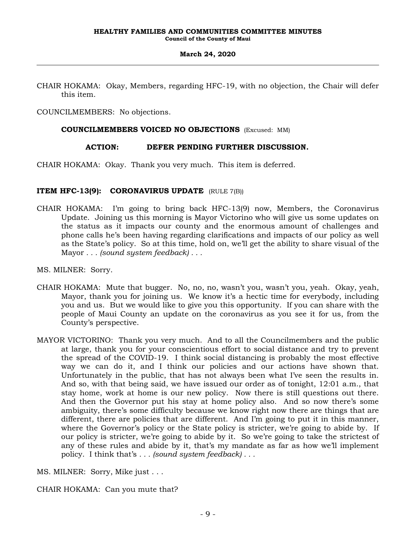CHAIR HOKAMA: Okay, Members, regarding HFC-19, with no objection, the Chair will defer this item.

COUNCILMEMBERS: No objections.

### **COUNCILMEMBERS VOICED NO OBJECTIONS** (Excused: MM)

### **ACTION: DEFER PENDING FURTHER DISCUSSION.**

CHAIR HOKAMA: Okay. Thank you very much. This item is deferred.

### **ITEM HFC-13(9): CORONAVIRUS UPDATE** (RULE 7(B))

- CHAIR HOKAMA: I'm going to bring back HFC-13(9) now, Members, the Coronavirus Update. Joining us this morning is Mayor Victorino who will give us some updates on the status as it impacts our county and the enormous amount of challenges and phone calls he's been having regarding clarifications and impacts of our policy as well as the State's policy. So at this time, hold on, we'll get the ability to share visual of the Mayor *. . . (sound system feedback) . . .*
- MS. MILNER: Sorry.
- CHAIR HOKAMA: Mute that bugger. No, no, no, wasn't you, wasn't you, yeah. Okay, yeah, Mayor, thank you for joining us. We know it's a hectic time for everybody, including you and us. But we would like to give you this opportunity. If you can share with the people of Maui County an update on the coronavirus as you see it for us, from the County's perspective.
- MAYOR VICTORINO: Thank you very much. And to all the Councilmembers and the public at large, thank you for your conscientious effort to social distance and try to prevent the spread of the COVID-19. I think social distancing is probably the most effective way we can do it, and I think our policies and our actions have shown that. Unfortunately in the public, that has not always been what I've seen the results in. And so, with that being said, we have issued our order as of tonight, 12:01 a.m., that stay home, work at home is our new policy. Now there is still questions out there. And then the Governor put his stay at home policy also. And so now there's some ambiguity, there's some difficulty because we know right now there are things that are different, there are policies that are different. And I'm going to put it in this manner, where the Governor's policy or the State policy is stricter, we're going to abide by. If our policy is stricter, we're going to abide by it. So we're going to take the strictest of any of these rules and abide by it, that's my mandate as far as how we'll implement policy. I think that's *. . . (sound system feedback) . . .*
- MS. MILNER: Sorry, Mike just . . .

CHAIR HOKAMA: Can you mute that?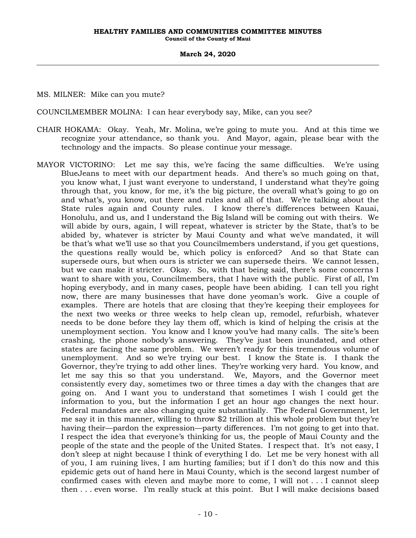MS. MILNER: Mike can you mute?

COUNCILMEMBER MOLINA: I can hear everybody say, Mike, can you see?

- CHAIR HOKAMA: Okay. Yeah, Mr. Molina, we're going to mute you. And at this time we recognize your attendance, so thank you. And Mayor, again, please bear with the technology and the impacts. So please continue your message.
- MAYOR VICTORINO: Let me say this, we're facing the same difficulties. We're using BlueJeans to meet with our department heads. And there's so much going on that, you know what, I just want everyone to understand, I understand what they're going through that, you know, for me, it's the big picture, the overall what's going to go on and what's, you know, out there and rules and all of that. We're talking about the State rules again and County rules. I know there's differences between Kauai, Honolulu, and us, and I understand the Big Island will be coming out with theirs. We will abide by ours, again, I will repeat, whatever is stricter by the State, that's to be abided by, whatever is stricter by Maui County and what we've mandated, it will be that's what we'll use so that you Councilmembers understand, if you get questions, the questions really would be, which policy is enforced? And so that State can supersede ours, but when ours is stricter we can supersede theirs. We cannot lessen, but we can make it stricter. Okay. So, with that being said, there's some concerns I want to share with you, Councilmembers, that I have with the public. First of all, I'm hoping everybody, and in many cases, people have been abiding. I can tell you right now, there are many businesses that have done yeoman's work. Give a couple of examples. There are hotels that are closing that they're keeping their employees for the next two weeks or three weeks to help clean up, remodel, refurbish, whatever needs to be done before they lay them off, which is kind of helping the crisis at the unemployment section. You know and I know you've had many calls. The site's been crashing, the phone nobody's answering. They've just been inundated, and other states are facing the same problem. We weren't ready for this tremendous volume of unemployment. And so we're trying our best. I know the State is. I thank the Governor, they're trying to add other lines. They're working very hard. You know, and let me say this so that you understand. We, Mayors, and the Governor meet consistently every day, sometimes two or three times a day with the changes that are going on. And I want you to understand that sometimes I wish I could get the information to you, but the information I get an hour ago changes the next hour. Federal mandates are also changing quite substantially. The Federal Government, let me say it in this manner, willing to throw \$2 trillion at this whole problem but they're having their—pardon the expression—party differences. I'm not going to get into that. I respect the idea that everyone's thinking for us, the people of Maui County and the people of the state and the people of the United States. I respect that. It's not easy, I don't sleep at night because I think of everything I do. Let me be very honest with all of you, I am ruining lives, I am hurting families; but if I don't do this now and this epidemic gets out of hand here in Maui County, which is the second largest number of confirmed cases with eleven and maybe more to come, I will not . . . I cannot sleep then . . . even worse. I'm really stuck at this point. But I will make decisions based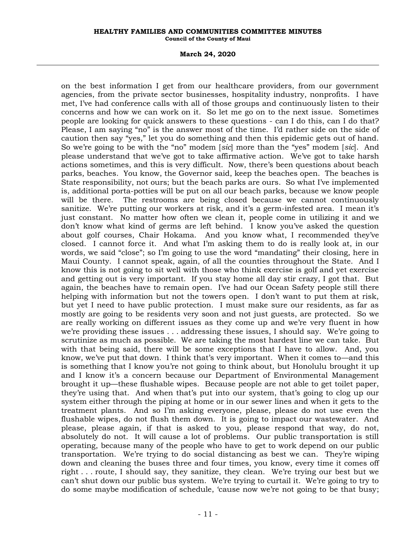### **March 24, 2020**

on the best information I get from our healthcare providers, from our government agencies, from the private sector businesses, hospitality industry, nonprofits. I have met, I've had conference calls with all of those groups and continuously listen to their concerns and how we can work on it. So let me go on to the next issue. Sometimes people are looking for quick answers to these questions - can I do this, can I do that? Please, I am saying "no" is the answer most of the time. I'd rather side on the side of caution then say "yes," let you do something and then this epidemic gets out of hand. So we're going to be with the "no" modem [*sic*] more than the "yes" modem [*sic*]. And please understand that we've got to take affirmative action. We've got to take harsh actions sometimes, and this is very difficult. Now, there's been questions about beach parks, beaches. You know, the Governor said, keep the beaches open. The beaches is State responsibility, not ours; but the beach parks are ours. So what I've implemented is, additional porta-potties will be put on all our beach parks, because we know people will be there. The restrooms are being closed because we cannot continuously sanitize. We're putting our workers at risk, and it's a germ-infested area. I mean it's just constant. No matter how often we clean it, people come in utilizing it and we don't know what kind of germs are left behind. I know you've asked the question about golf courses, Chair Hokama. And you know what, I recommended they've closed. I cannot force it. And what I'm asking them to do is really look at, in our words, we said "close"; so I'm going to use the word "mandating" their closing, here in Maui County. I cannot speak, again, of all the counties throughout the State. And I know this is not going to sit well with those who think exercise is golf and yet exercise and getting out is very important. If you stay home all day stir crazy, I got that. But again, the beaches have to remain open. I've had our Ocean Safety people still there helping with information but not the towers open. I don't want to put them at risk, but yet I need to have public protection. I must make sure our residents, as far as mostly are going to be residents very soon and not just guests, are protected. So we are really working on different issues as they come up and we're very fluent in how we're providing these issues . . . addressing these issues, I should say. We're going to scrutinize as much as possible. We are taking the most hardest line we can take. But with that being said, there will be some exceptions that I have to allow. And, you know, we've put that down. I think that's very important. When it comes to—and this is something that I know you're not going to think about, but Honolulu brought it up and I know it's a concern because our Department of Environmental Management brought it up—these flushable wipes. Because people are not able to get toilet paper, they're using that. And when that's put into our system, that's going to clog up our system either through the piping at home or in our sewer lines and when it gets to the treatment plants. And so I'm asking everyone, please, please do not use even the flushable wipes, do not flush them down. It is going to impact our wastewater. And please, please again, if that is asked to you, please respond that way, do not, absolutely do not. It will cause a lot of problems. Our public transportation is still operating, because many of the people who have to get to work depend on our public transportation. We're trying to do social distancing as best we can. They're wiping down and cleaning the buses three and four times, you know, every time it comes off right . . . route, I should say, they sanitize, they clean. We're trying our best but we can't shut down our public bus system. We're trying to curtail it. We're going to try to do some maybe modification of schedule, 'cause now we're not going to be that busy;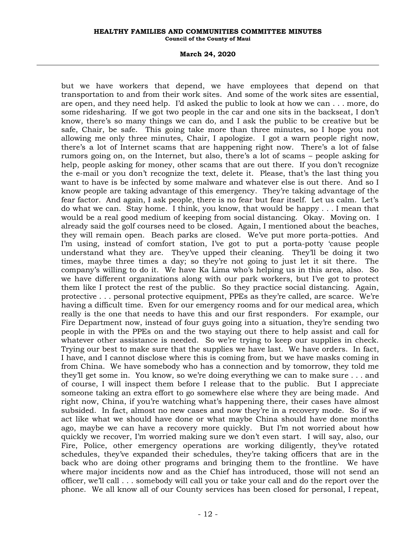### **March 24, 2020**

but we have workers that depend, we have employees that depend on that transportation to and from their work sites. And some of the work sites are essential, are open, and they need help. I'd asked the public to look at how we can . . . more, do some ridesharing. If we got two people in the car and one sits in the backseat, I don't know, there's so many things we can do, and I ask the public to be creative but be safe, Chair, be safe. This going take more than three minutes, so I hope you not allowing me only three minutes, Chair, I apologize. I got a warn people right now, there's a lot of Internet scams that are happening right now. There's a lot of false rumors going on, on the Internet, but also, there's a lot of scams – people asking for help, people asking for money, other scams that are out there. If you don't recognize the e-mail or you don't recognize the text, delete it. Please, that's the last thing you want to have is be infected by some malware and whatever else is out there. And so I know people are taking advantage of this emergency. They're taking advantage of the fear factor. And again, I ask people, there is no fear but fear itself. Let us calm. Let's do what we can. Stay home. I think, you know, that would be happy . . . I mean that would be a real good medium of keeping from social distancing. Okay. Moving on. I already said the golf courses need to be closed. Again, I mentioned about the beaches, they will remain open. Beach parks are closed. We've put more porta-potties. And I'm using, instead of comfort station, I've got to put a porta-potty 'cause people understand what they are. They've upped their cleaning. They'll be doing it two times, maybe three times a day; so they're not going to just let it sit there. The company's willing to do it. We have Ka Lima who's helping us in this area, also. So we have different organizations along with our park workers, but I've got to protect them like I protect the rest of the public. So they practice social distancing. Again, protective . . . personal protective equipment, PPEs as they're called, are scarce. We're having a difficult time. Even for our emergency rooms and for our medical area, which really is the one that needs to have this and our first responders. For example, our Fire Department now, instead of four guys going into a situation, they're sending two people in with the PPEs on and the two staying out there to help assist and call for whatever other assistance is needed. So we're trying to keep our supplies in check. Trying our best to make sure that the supplies we have last. We have orders. In fact, I have, and I cannot disclose where this is coming from, but we have masks coming in from China. We have somebody who has a connection and by tomorrow, they told me they'll get some in. You know, so we're doing everything we can to make sure . . . and of course, I will inspect them before I release that to the public. But I appreciate someone taking an extra effort to go somewhere else where they are being made. And right now, China, if you're watching what's happening there, their cases have almost subsided. In fact, almost no new cases and now they're in a recovery mode. So if we act like what we should have done or what maybe China should have done months ago, maybe we can have a recovery more quickly. But I'm not worried about how quickly we recover, I'm worried making sure we don't even start. I will say, also, our Fire, Police, other emergency operations are working diligently, they've rotated schedules, they've expanded their schedules, they're taking officers that are in the back who are doing other programs and bringing them to the frontline. We have where major incidents now and as the Chief has introduced, those will not send an officer, we'll call . . . somebody will call you or take your call and do the report over the phone. We all know all of our County services has been closed for personal, I repeat,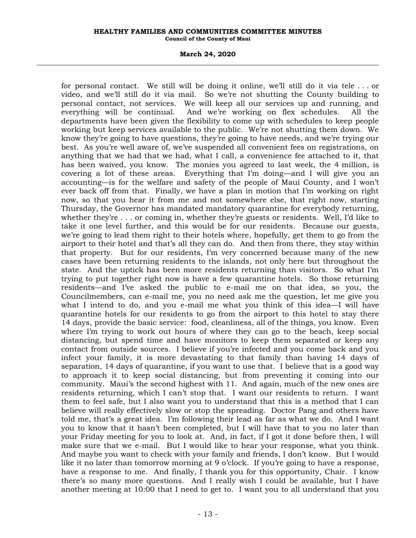### **March 24, 2020**

for personal contact. We still will be doing it online, we'll still do it via tele . . . or video, and we'll still do it via mail. So we're not shutting the County building to personal contact, not services. We will keep all our services up and running, and everything will be continual. And we're working on flex schedules. All the departments have been given the flexibility to come up with schedules to keep people working but keep services available to the public. We're not shutting them down. We know they're going to have questions, they're going to have needs, and we're trying our best. As you're well aware of, we've suspended all convenient fees on registrations, on anything that we had that we had, what I call, a convenience fee attached to it, that has been waived, you know. The monies you agreed to last week, the 4 million, is covering a lot of these areas. Everything that I'm doing—and I will give you an accounting—is for the welfare and safety of the people of Maui County, and I won't ever back off from that. Finally, we have a plan in motion that I'm working on right now, so that you hear it from me and not somewhere else, that right now, starting Thursday, the Governor has mandated mandatory quarantine for everybody returning, whether they're . . . or coming in, whether they're guests or residents. Well, I'd like to take it one level further, and this would be for our residents. Because our guests, we're going to lead them right to their hotels where, hopefully, get them to go from the airport to their hotel and that's all they can do. And then from there, they stay within that property. But for our residents, I'm very concerned because many of the new cases have been returning residents to the islands, not only here but throughout the state. And the uptick has been more residents returning than visitors. So what I'm trying to put together right now is have a few quarantine hotels. So those returning residents—and I've asked the public to e-mail me on that idea, so you, the Councilmembers, can e-mail me, you no need ask me the question, let me give you what I intend to do, and you e-mail me what you think of this idea—I will have quarantine hotels for our residents to go from the airport to this hotel to stay there 14 days, provide the basic service: food, cleanliness, all of the things, you know. Even where I'm trying to work out hours of where they can go to the beach, keep social distancing, but spend time and have monitors to keep them separated or keep any contact from outside sources. I believe if you're infected and you come back and you infect your family, it is more devastating to that family than having 14 days of separation, 14 days of quarantine, if you want to use that. I believe that is a good way to approach it to keep social distancing, but from preventing it coming into our community. Maui's the second highest with 11. And again, much of the new ones are residents returning, which I can't stop that. I want our residents to return. I want them to feel safe, but I also want you to understand that this is a method that I can believe will really effectively slow or stop the spreading. Doctor Pang and others have told me, that's a great idea. I'm following their lead as far as what we do. And I want you to know that it hasn't been completed, but I will have that to you no later than your Friday meeting for you to look at. And, in fact, if I got it done before then, I will make sure that we e-mail. But I would like to hear your response, what you think. And maybe you want to check with your family and friends, I don't know. But I would like it no later than tomorrow morning at 9 o'clock. If you're going to have a response, have a response to me. And finally, I thank you for this opportunity, Chair. I know there's so many more questions. And I really wish I could be available, but I have another meeting at 10:00 that I need to get to. I want you to all understand that you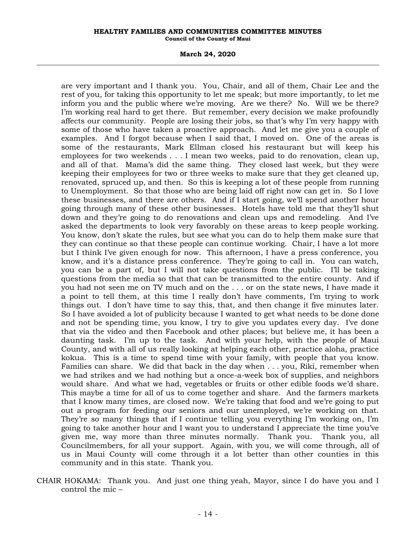### **March 24, 2020**

are very important and I thank you. You, Chair, and all of them, Chair Lee and the rest of you, for taking this opportunity to let me speak; but more importantly, to let me inform you and the public where we're moving. Are we there? No. Will we be there? I'm working real hard to get there. But remember, every decision we make profoundly affects our community. People are losing their jobs, so that's why I'm very happy with some of those who have taken a proactive approach. And let me give you a couple of examples. And I forgot because when I said that, I moved on. One of the areas is some of the restaurants, Mark Ellman closed his restaurant but will keep his employees for two weekends . . . I mean two weeks, paid to do renovation, clean up, and all of that. Mama's did the same thing. They closed last week, but they were keeping their employees for two or three weeks to make sure that they get cleaned up, renovated, spruced up, and then. So this is keeping a lot of these people from running to Unemployment. So that those who are being laid off right now can get in. So I love these businesses, and there are others. And if I start going, we'll spend another hour going through many of these other businesses. Hotels have told me that they'll shut down and they're going to do renovations and clean ups and remodeling. And I've asked the departments to look very favorably on these areas to keep people working. You know, don't skate the rules, but see what you can do to help them make sure that they can continue so that these people can continue working. Chair, I have a lot more but I think I've given enough for now. This afternoon, I have a press conference, you know, and it's a distance press conference. They're going to call in. You can watch, you can be a part of, but I will not take questions from the public. I'll be taking questions from the media so that that can be transmitted to the entire county. And if you had not seen me on TV much and on the . . . or on the state news, I have made it a point to tell them, at this time I really don't have comments, I'm trying to work things out. I don't have time to say this, that, and then change it five minutes later. So I have avoided a lot of publicity because I wanted to get what needs to be done done and not be spending time, you know, I try to give you updates every day. I've done that via the video and then Facebook and other places; but believe me, it has been a daunting task. I'm up to the task. And with your help, with the people of Maui County, and with all of us really looking at helping each other, practice aloha, practice kokua. This is a time to spend time with your family, with people that you know. Families can share. We did that back in the day when . . . you, Riki, remember when we had strikes and we had nothing but a once-a-week box of supplies, and neighbors would share. And what we had, vegetables or fruits or other edible foods we'd share. This maybe a time for all of us to come together and share. And the farmers markets that I know many times, are closed now. We're taking that food and we're going to put out a program for feeding our seniors and our unemployed, we're working on that. They're so many things that if I continue telling you everything I'm working on, I'm going to take another hour and I want you to understand I appreciate the time you've given me, way more than three minutes normally. Thank you. Thank you, all Councilmembers, for all your support. Again, with you, we will come through, all of us in Maui County will come through it a lot better than other counties in this community and in this state. Thank you.

CHAIR HOKAMA: Thank you. And just one thing yeah, Mayor, since I do have you and I control the mic –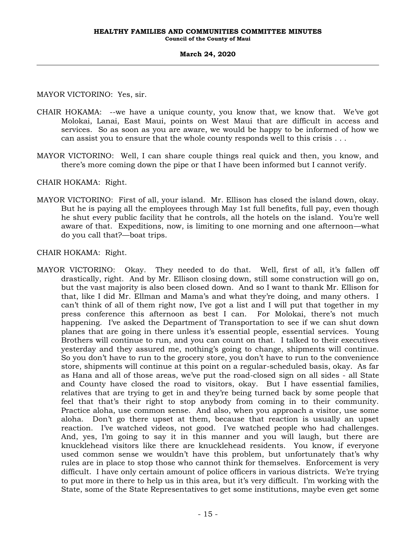MAYOR VICTORINO: Yes, sir.

- CHAIR HOKAMA: --we have a unique county, you know that, we know that. We've got Molokai, Lanai, East Maui, points on West Maui that are difficult in access and services. So as soon as you are aware, we would be happy to be informed of how we can assist you to ensure that the whole county responds well to this crisis . . .
- MAYOR VICTORINO: Well, I can share couple things real quick and then, you know, and there's more coming down the pipe or that I have been informed but I cannot verify.

CHAIR HOKAMA: Right.

MAYOR VICTORINO: First of all, your island. Mr. Ellison has closed the island down, okay. But he is paying all the employees through May 1st full benefits, full pay, even though he shut every public facility that he controls, all the hotels on the island. You're well aware of that. Expeditions, now, is limiting to one morning and one afternoon—what do you call that?—boat trips.

CHAIR HOKAMA: Right.

MAYOR VICTORINO: Okay. They needed to do that. Well, first of all, it's fallen off drastically, right. And by Mr. Ellison closing down, still some construction will go on, but the vast majority is also been closed down. And so I want to thank Mr. Ellison for that, like I did Mr. Ellman and Mama's and what they're doing, and many others. I can't think of all of them right now, I've got a list and I will put that together in my press conference this afternoon as best I can. For Molokai, there's not much happening. I've asked the Department of Transportation to see if we can shut down planes that are going in there unless it's essential people, essential services. Young Brothers will continue to run, and you can count on that. I talked to their executives yesterday and they assured me, nothing's going to change, shipments will continue. So you don't have to run to the grocery store, you don't have to run to the convenience store, shipments will continue at this point on a regular-scheduled basis, okay. As far as Hana and all of those areas, we've put the road-closed sign on all sides - all State and County have closed the road to visitors, okay. But I have essential families, relatives that are trying to get in and they're being turned back by some people that feel that that's their right to stop anybody from coming in to their community. Practice aloha, use common sense. And also, when you approach a visitor, use some aloha. Don't go there upset at them, because that reaction is usually an upset reaction. I've watched videos, not good. I've watched people who had challenges. And, yes, I'm going to say it in this manner and you will laugh, but there are knucklehead visitors like there are knucklehead residents. You know, if everyone used common sense we wouldn't have this problem, but unfortunately that's why rules are in place to stop those who cannot think for themselves. Enforcement is very difficult. I have only certain amount of police officers in various districts. We're trying to put more in there to help us in this area, but it's very difficult. I'm working with the State, some of the State Representatives to get some institutions, maybe even get some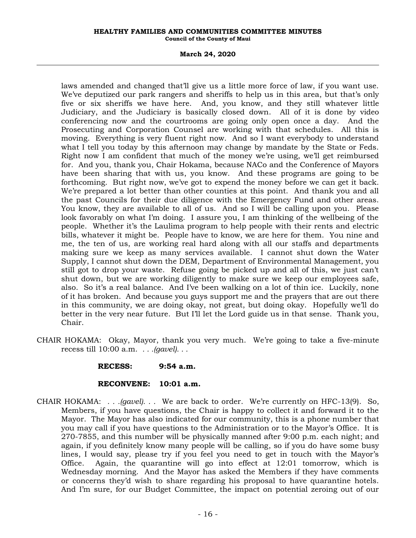### **March 24, 2020**

laws amended and changed that'll give us a little more force of law, if you want use. We've deputized our park rangers and sheriffs to help us in this area, but that's only five or six sheriffs we have here. And, you know, and they still whatever little Judiciary, and the Judiciary is basically closed down. All of it is done by video conferencing now and the courtrooms are going only open once a day. And the Prosecuting and Corporation Counsel are working with that schedules. All this is moving. Everything is very fluent right now. And so I want everybody to understand what I tell you today by this afternoon may change by mandate by the State or Feds. Right now I am confident that much of the money we're using, we'll get reimbursed for. And you, thank you, Chair Hokama, because NACo and the Conference of Mayors have been sharing that with us, you know. And these programs are going to be forthcoming. But right now, we've got to expend the money before we can get it back. We're prepared a lot better than other counties at this point. And thank you and all the past Councils for their due diligence with the Emergency Fund and other areas. You know, they are available to all of us. And so I will be calling upon you. Please look favorably on what I'm doing. I assure you, I am thinking of the wellbeing of the people. Whether it's the Laulima program to help people with their rents and electric bills, whatever it might be. People have to know, we are here for them. You nine and me, the ten of us, are working real hard along with all our staffs and departments making sure we keep as many services available. I cannot shut down the Water Supply, I cannot shut down the DEM, Department of Environmental Management, you still got to drop your waste. Refuse going be picked up and all of this, we just can't shut down, but we are working diligently to make sure we keep our employees safe, also. So it's a real balance. And I've been walking on a lot of thin ice. Luckily, none of it has broken. And because you guys support me and the prayers that are out there in this community, we are doing okay, not great, but doing okay. Hopefully we'll do better in the very near future. But I'll let the Lord guide us in that sense. Thank you, Chair.

CHAIR HOKAMA: Okay, Mayor, thank you very much. We're going to take a five-minute recess till 10:00 a.m. *. . .(gavel). . .*

### **RECESS: 9:54 a.m.**

### **RECONVENE: 10:01 a.m.**

CHAIR HOKAMA: *. . .(gavel). . .* We are back to order. We're currently on HFC-13(9). So, Members, if you have questions, the Chair is happy to collect it and forward it to the Mayor. The Mayor has also indicated for our community, this is a phone number that you may call if you have questions to the Administration or to the Mayor's Office. It is 270-7855, and this number will be physically manned after 9:00 p.m. each night; and again, if you definitely know many people will be calling, so if you do have some busy lines, I would say, please try if you feel you need to get in touch with the Mayor's Office. Again, the quarantine will go into effect at 12:01 tomorrow, which is Wednesday morning. And the Mayor has asked the Members if they have comments or concerns they'd wish to share regarding his proposal to have quarantine hotels. And I'm sure, for our Budget Committee, the impact on potential zeroing out of our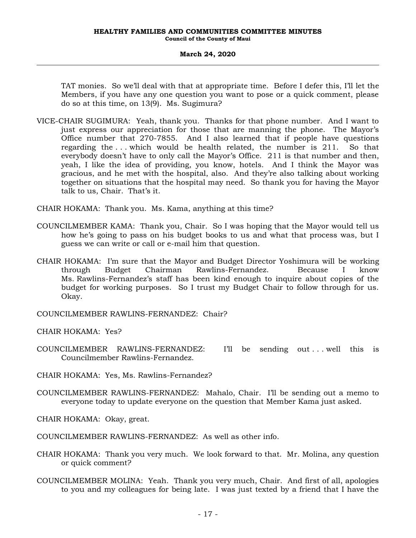TAT monies. So we'll deal with that at appropriate time. Before I defer this, I'll let the Members, if you have any one question you want to pose or a quick comment, please do so at this time, on 13(9). Ms. Sugimura?

VICE-CHAIR SUGIMURA: Yeah, thank you. Thanks for that phone number. And I want to just express our appreciation for those that are manning the phone. The Mayor's Office number that 270-7855. And I also learned that if people have questions regarding the . . . which would be health related, the number is 211. So that everybody doesn't have to only call the Mayor's Office. 211 is that number and then, yeah, I like the idea of providing, you know, hotels. And I think the Mayor was gracious, and he met with the hospital, also. And they're also talking about working together on situations that the hospital may need. So thank you for having the Mayor talk to us, Chair. That's it.

CHAIR HOKAMA: Thank you. Ms. Kama, anything at this time?

- COUNCILMEMBER KAMA: Thank you, Chair. So I was hoping that the Mayor would tell us how he's going to pass on his budget books to us and what that process was, but I guess we can write or call or e-mail him that question.
- CHAIR HOKAMA: I'm sure that the Mayor and Budget Director Yoshimura will be working through Budget Chairman Rawlins-Fernandez. Because I know Ms. Rawlins-Fernandez's staff has been kind enough to inquire about copies of the budget for working purposes. So I trust my Budget Chair to follow through for us. Okay.

COUNCILMEMBER RAWLINS-FERNANDEZ: Chair?

CHAIR HOKAMA: Yes?

COUNCILMEMBER RAWLINS-FERNANDEZ: I'll be sending out . . . well this is Councilmember Rawlins-Fernandez.

CHAIR HOKAMA: Yes, Ms. Rawlins-Fernandez?

COUNCILMEMBER RAWLINS-FERNANDEZ: Mahalo, Chair. I'll be sending out a memo to everyone today to update everyone on the question that Member Kama just asked.

CHAIR HOKAMA: Okay, great.

COUNCILMEMBER RAWLINS-FERNANDEZ: As well as other info.

- CHAIR HOKAMA: Thank you very much. We look forward to that. Mr. Molina, any question or quick comment?
- COUNCILMEMBER MOLINA: Yeah. Thank you very much, Chair. And first of all, apologies to you and my colleagues for being late. I was just texted by a friend that I have the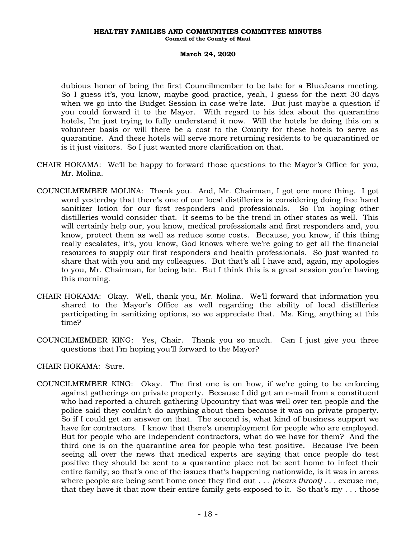### **March 24, 2020**

dubious honor of being the first Councilmember to be late for a BlueJeans meeting. So I guess it's, you know, maybe good practice, yeah, I guess for the next 30 days when we go into the Budget Session in case we're late. But just maybe a question if you could forward it to the Mayor. With regard to his idea about the quarantine hotels, I'm just trying to fully understand it now. Will the hotels be doing this on a volunteer basis or will there be a cost to the County for these hotels to serve as quarantine. And these hotels will serve more returning residents to be quarantined or is it just visitors. So I just wanted more clarification on that.

- CHAIR HOKAMA: We'll be happy to forward those questions to the Mayor's Office for you, Mr. Molina.
- COUNCILMEMBER MOLINA: Thank you. And, Mr. Chairman, I got one more thing. I got word yesterday that there's one of our local distilleries is considering doing free hand sanitizer lotion for our first responders and professionals. So I'm hoping other distilleries would consider that. It seems to be the trend in other states as well. This will certainly help our, you know, medical professionals and first responders and, you know, protect them as well as reduce some costs. Because, you know, if this thing really escalates, it's, you know, God knows where we're going to get all the financial resources to supply our first responders and health professionals. So just wanted to share that with you and my colleagues. But that's all I have and, again, my apologies to you, Mr. Chairman, for being late. But I think this is a great session you're having this morning.
- CHAIR HOKAMA: Okay. Well, thank you, Mr. Molina. We'll forward that information you shared to the Mayor's Office as well regarding the ability of local distilleries participating in sanitizing options, so we appreciate that. Ms. King, anything at this time?
- COUNCILMEMBER KING: Yes, Chair. Thank you so much. Can I just give you three questions that I'm hoping you'll forward to the Mayor?

CHAIR HOKAMA: Sure.

COUNCILMEMBER KING: Okay. The first one is on how, if we're going to be enforcing against gatherings on private property. Because I did get an e-mail from a constituent who had reported a church gathering Upcountry that was well over ten people and the police said they couldn't do anything about them because it was on private property. So if I could get an answer on that. The second is, what kind of business support we have for contractors. I know that there's unemployment for people who are employed. But for people who are independent contractors, what do we have for them? And the third one is on the quarantine area for people who test positive. Because I've been seeing all over the news that medical experts are saying that once people do test positive they should be sent to a quarantine place not be sent home to infect their entire family; so that's one of the issues that's happening nationwide, is it was in areas where people are being sent home once they find out *...* (clears throat)  $\ldots$  excuse me, that they have it that now their entire family gets exposed to it. So that's my . . . those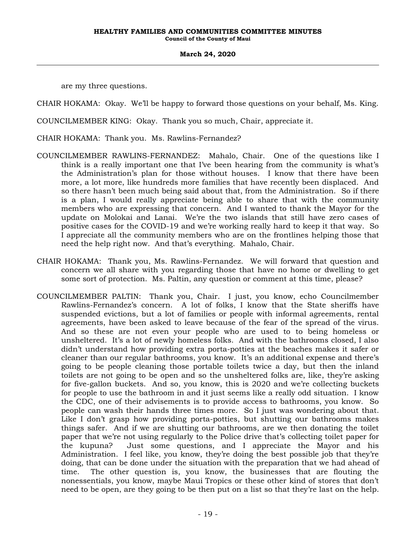are my three questions.

CHAIR HOKAMA: Okay. We'll be happy to forward those questions on your behalf, Ms. King.

COUNCILMEMBER KING: Okay. Thank you so much, Chair, appreciate it.

CHAIR HOKAMA: Thank you. Ms. Rawlins-Fernandez?

- COUNCILMEMBER RAWLINS-FERNANDEZ: Mahalo, Chair. One of the questions like I think is a really important one that I've been hearing from the community is what's the Administration's plan for those without houses. I know that there have been more, a lot more, like hundreds more families that have recently been displaced. And so there hasn't been much being said about that, from the Administration. So if there is a plan, I would really appreciate being able to share that with the community members who are expressing that concern. And I wanted to thank the Mayor for the update on Molokai and Lanai. We're the two islands that still have zero cases of positive cases for the COVID-19 and we're working really hard to keep it that way. So I appreciate all the community members who are on the frontlines helping those that need the help right now. And that's everything. Mahalo, Chair.
- CHAIR HOKAMA: Thank you, Ms. Rawlins-Fernandez. We will forward that question and concern we all share with you regarding those that have no home or dwelling to get some sort of protection. Ms. Paltin, any question or comment at this time, please?
- COUNCILMEMBER PALTIN: Thank you, Chair. I just, you know, echo Councilmember Rawlins-Fernandez's concern. A lot of folks, I know that the State sheriffs have suspended evictions, but a lot of families or people with informal agreements, rental agreements, have been asked to leave because of the fear of the spread of the virus. And so these are not even your people who are used to to being homeless or unsheltered. It's a lot of newly homeless folks. And with the bathrooms closed, I also didn't understand how providing extra porta-potties at the beaches makes it safer or cleaner than our regular bathrooms, you know. It's an additional expense and there's going to be people cleaning those portable toilets twice a day, but then the inland toilets are not going to be open and so the unsheltered folks are, like, they're asking for five-gallon buckets. And so, you know, this is 2020 and we're collecting buckets for people to use the bathroom in and it just seems like a really odd situation. I know the CDC, one of their advisements is to provide access to bathrooms, you know. So people can wash their hands three times more. So I just was wondering about that. Like I don't grasp how providing porta-potties, but shutting our bathrooms makes things safer. And if we are shutting our bathrooms, are we then donating the toilet paper that we're not using regularly to the Police drive that's collecting toilet paper for the kupuna? Just some questions, and I appreciate the Mayor and his Administration. I feel like, you know, they're doing the best possible job that they're doing, that can be done under the situation with the preparation that we had ahead of time. The other question is, you know, the businesses that are flouting the nonessentials, you know, maybe Maui Tropics or these other kind of stores that don't need to be open, are they going to be then put on a list so that they're last on the help.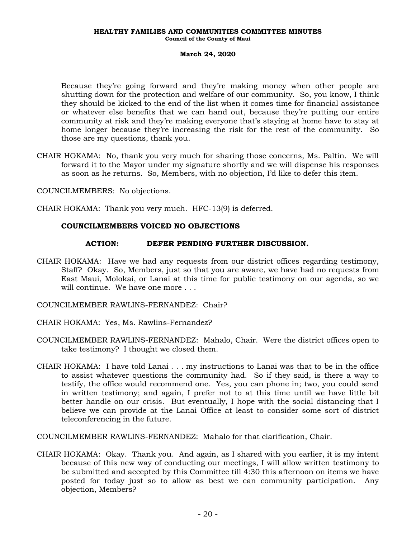Because they're going forward and they're making money when other people are shutting down for the protection and welfare of our community. So, you know, I think they should be kicked to the end of the list when it comes time for financial assistance or whatever else benefits that we can hand out, because they're putting our entire community at risk and they're making everyone that's staying at home have to stay at home longer because they're increasing the risk for the rest of the community. So those are my questions, thank you.

CHAIR HOKAMA: No, thank you very much for sharing those concerns, Ms. Paltin. We will forward it to the Mayor under my signature shortly and we will dispense his responses as soon as he returns. So, Members, with no objection, I'd like to defer this item.

COUNCILMEMBERS: No objections.

CHAIR HOKAMA: Thank you very much. HFC-13(9) is deferred.

### **COUNCILMEMBERS VOICED NO OBJECTIONS**

### **ACTION: DEFER PENDING FURTHER DISCUSSION.**

- CHAIR HOKAMA: Have we had any requests from our district offices regarding testimony, Staff? Okay. So, Members, just so that you are aware, we have had no requests from East Maui, Molokai, or Lanai at this time for public testimony on our agenda, so we will continue. We have one more . . .
- COUNCILMEMBER RAWLINS-FERNANDEZ: Chair?
- CHAIR HOKAMA: Yes, Ms. Rawlins-Fernandez?
- COUNCILMEMBER RAWLINS-FERNANDEZ: Mahalo, Chair. Were the district offices open to take testimony? I thought we closed them.
- CHAIR HOKAMA: I have told Lanai . . . my instructions to Lanai was that to be in the office to assist whatever questions the community had. So if they said, is there a way to testify, the office would recommend one. Yes, you can phone in; two, you could send in written testimony; and again, I prefer not to at this time until we have little bit better handle on our crisis. But eventually, I hope with the social distancing that I believe we can provide at the Lanai Office at least to consider some sort of district teleconferencing in the future.

COUNCILMEMBER RAWLINS-FERNANDEZ: Mahalo for that clarification, Chair.

CHAIR HOKAMA: Okay. Thank you. And again, as I shared with you earlier, it is my intent because of this new way of conducting our meetings, I will allow written testimony to be submitted and accepted by this Committee till 4:30 this afternoon on items we have posted for today just so to allow as best we can community participation. Any objection, Members?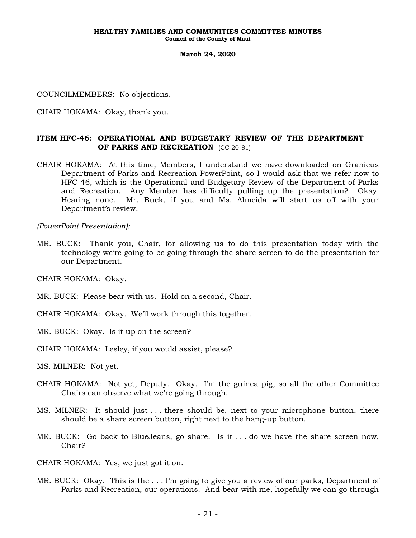COUNCILMEMBERS: No objections.

CHAIR HOKAMA: Okay, thank you.

### **ITEM HFC-46: OPERATIONAL AND BUDGETARY REVIEW OF THE DEPARTMENT OF PARKS AND RECREATION** (CC 20-81)

CHAIR HOKAMA: At this time, Members, I understand we have downloaded on Granicus Department of Parks and Recreation PowerPoint, so I would ask that we refer now to HFC-46, which is the Operational and Budgetary Review of the Department of Parks and Recreation. Any Member has difficulty pulling up the presentation? Okay. Hearing none. Mr. Buck, if you and Ms. Almeida will start us off with your Department's review.

*(PowerPoint Presentation):*

MR. BUCK: Thank you, Chair, for allowing us to do this presentation today with the technology we're going to be going through the share screen to do the presentation for our Department.

CHAIR HOKAMA: Okay.

- MR. BUCK: Please bear with us. Hold on a second, Chair.
- CHAIR HOKAMA: Okay. We'll work through this together.
- MR. BUCK: Okay. Is it up on the screen?

CHAIR HOKAMA: Lesley, if you would assist, please?

MS. MILNER: Not yet.

- CHAIR HOKAMA: Not yet, Deputy. Okay. I'm the guinea pig, so all the other Committee Chairs can observe what we're going through.
- MS. MILNER: It should just . . . there should be, next to your microphone button, there should be a share screen button, right next to the hang-up button.
- MR. BUCK: Go back to BlueJeans, go share. Is it . . . do we have the share screen now, Chair?

CHAIR HOKAMA: Yes, we just got it on.

MR. BUCK: Okay. This is the ... I'm going to give you a review of our parks, Department of Parks and Recreation, our operations. And bear with me, hopefully we can go through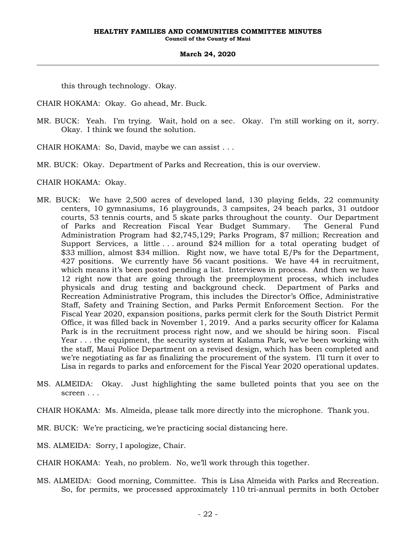this through technology. Okay.

CHAIR HOKAMA: Okay. Go ahead, Mr. Buck.

- MR. BUCK: Yeah. I'm trying. Wait, hold on a sec. Okay. I'm still working on it, sorry. Okay. I think we found the solution.
- CHAIR HOKAMA: So, David, maybe we can assist . . .
- MR. BUCK: Okay. Department of Parks and Recreation, this is our overview.

CHAIR HOKAMA: Okay.

- MR. BUCK: We have 2,500 acres of developed land, 130 playing fields, 22 community centers, 10 gymnasiums, 16 playgrounds, 3 campsites, 24 beach parks, 31 outdoor courts, 53 tennis courts, and 5 skate parks throughout the county. Our Department of Parks and Recreation Fiscal Year Budget Summary. The General Fund Administration Program had \$2,745,129; Parks Program, \$7 million; Recreation and Support Services, a little . . . around \$24 million for a total operating budget of \$33 million, almost \$34 million. Right now, we have total E/Ps for the Department, 427 positions. We currently have 56 vacant positions. We have 44 in recruitment, which means it's been posted pending a list. Interviews in process. And then we have 12 right now that are going through the preemployment process, which includes physicals and drug testing and background check. Department of Parks and Recreation Administrative Program, this includes the Director's Office, Administrative Staff, Safety and Training Section, and Parks Permit Enforcement Section. For the Fiscal Year 2020, expansion positions, parks permit clerk for the South District Permit Office, it was filled back in November 1, 2019. And a parks security officer for Kalama Park is in the recruitment process right now, and we should be hiring soon. Fiscal Year . . . the equipment, the security system at Kalama Park, we've been working with the staff, Maui Police Department on a revised design, which has been completed and we're negotiating as far as finalizing the procurement of the system. I'll turn it over to Lisa in regards to parks and enforcement for the Fiscal Year 2020 operational updates.
- MS. ALMEIDA: Okay. Just highlighting the same bulleted points that you see on the screen . . .
- CHAIR HOKAMA: Ms. Almeida, please talk more directly into the microphone. Thank you.
- MR. BUCK: We're practicing, we're practicing social distancing here.
- MS. ALMEIDA: Sorry, I apologize, Chair.

CHAIR HOKAMA: Yeah, no problem. No, we'll work through this together.

MS. ALMEIDA: Good morning, Committee. This is Lisa Almeida with Parks and Recreation. So, for permits, we processed approximately 110 tri-annual permits in both October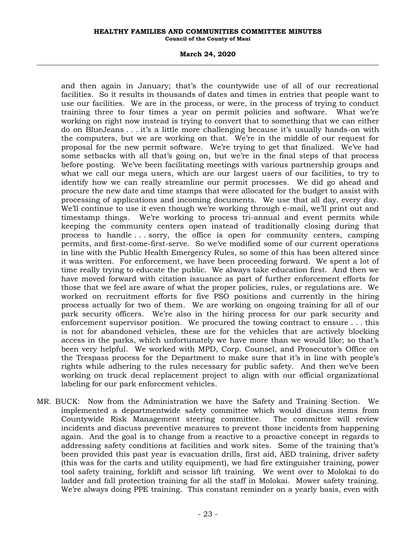### **March 24, 2020**

and then again in January; that's the countywide use of all of our recreational facilities. So it results in thousands of dates and times in entries that people want to use our facilities. We are in the process, or were, in the process of trying to conduct training three to four times a year on permit policies and software. What we're working on right now instead is trying to convert that to something that we can either do on BlueJeans . . . it's a little more challenging because it's usually hands-on with the computers, but we are working on that. We're in the middle of our request for proposal for the new permit software. We're trying to get that finalized. We've had some setbacks with all that's going on, but we're in the final steps of that process before posting. We've been facilitating meetings with various partnership groups and what we call our mega users, which are our largest users of our facilities, to try to identify how we can really streamline our permit processes. We did go ahead and procure the new date and time stamps that were allocated for the budget to assist with processing of applications and incoming documents. We use that all day, every day. We'll continue to use it even though we're working through e-mail, we'll print out and timestamp things. We're working to process tri-annual and event permits while keeping the community centers open instead of traditionally closing during that process to handle . . . sorry, the office is open for community centers, camping permits, and first-come-first-serve. So we've modified some of our current operations in line with the Public Health Emergency Rules, so some of this has been altered since it was written. For enforcement, we have been proceeding forward. We spent a lot of time really trying to educate the public. We always take education first. And then we have moved forward with citation issuance as part of further enforcement efforts for those that we feel are aware of what the proper policies, rules, or regulations are. We worked on recruitment efforts for five PSO positions and currently in the hiring process actually for two of them. We are working on ongoing training for all of our park security officers. We're also in the hiring process for our park security and enforcement supervisor position. We procured the towing contract to ensure . . . this is not for abandoned vehicles, these are for the vehicles that are actively blocking access in the parks, which unfortunately we have more than we would like; so that's been very helpful. We worked with MPD, Corp. Counsel, and Prosecutor's Office on the Trespass process for the Department to make sure that it's in line with people's rights while adhering to the rules necessary for public safety. And then we've been working on truck decal replacement project to align with our official organizational labeling for our park enforcement vehicles.

MR. BUCK: Now from the Administration we have the Safety and Training Section. We implemented a departmentwide safety committee which would discuss items from Countywide Risk Management steering committee. The committee will review incidents and discuss preventive measures to prevent those incidents from happening again. And the goal is to change from a reactive to a proactive concept in regards to addressing safety conditions at facilities and work sites. Some of the training that's been provided this past year is evacuation drills, first aid, AED training, driver safety (this was for the carts and utility equipment), we had fire extinguisher training, power tool safety training, forklift and scissor lift training. We went over to Molokai to do ladder and fall protection training for all the staff in Molokai. Mower safety training. We're always doing PPE training. This constant reminder on a yearly basis, even with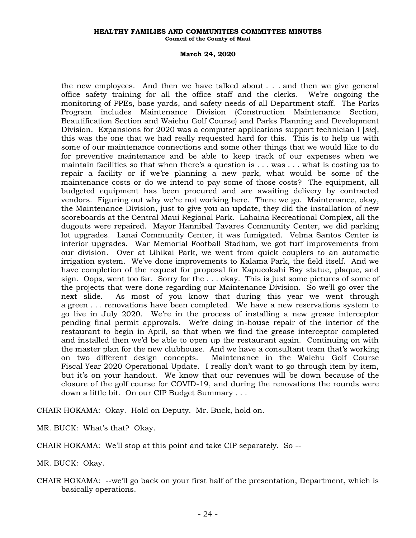### **March 24, 2020**

the new employees. And then we have talked about . . . and then we give general office safety training for all the office staff and the clerks. We're ongoing the monitoring of PPEs, base yards, and safety needs of all Department staff. The Parks Program includes Maintenance Division (Construction Maintenance Section, Beautification Section and Waiehu Golf Course) and Parks Planning and Development Division. Expansions for 2020 was a computer applications support technician I [*sic*], this was the one that we had really requested hard for this. This is to help us with some of our maintenance connections and some other things that we would like to do for preventive maintenance and be able to keep track of our expenses when we maintain facilities so that when there's a question is . . . was . . . what is costing us to repair a facility or if we're planning a new park, what would be some of the maintenance costs or do we intend to pay some of those costs? The equipment, all budgeted equipment has been procured and are awaiting delivery by contracted vendors. Figuring out why we're not working here. There we go. Maintenance, okay, the Maintenance Division, just to give you an update, they did the installation of new scoreboards at the Central Maui Regional Park. Lahaina Recreational Complex, all the dugouts were repaired. Mayor Hannibal Tavares Community Center, we did parking lot upgrades. Lanai Community Center, it was fumigated. Velma Santos Center is interior upgrades. War Memorial Football Stadium, we got turf improvements from our division. Over at Lihikai Park, we went from quick couplers to an automatic irrigation system. We've done improvements to Kalama Park, the field itself. And we have completion of the request for proposal for Kapueokahi Bay statue, plaque, and sign. Oops, went too far. Sorry for the . . . okay. This is just some pictures of some of the projects that were done regarding our Maintenance Division. So we'll go over the next slide. As most of you know that during this year we went through a green . . . renovations have been completed. We have a new reservations system to go live in July 2020. We're in the process of installing a new grease interceptor pending final permit approvals. We're doing in-house repair of the interior of the restaurant to begin in April, so that when we find the grease interceptor completed and installed then we'd be able to open up the restaurant again. Continuing on with the master plan for the new clubhouse. And we have a consultant team that's working on two different design concepts. Maintenance in the Waiehu Golf Course Fiscal Year 2020 Operational Update. I really don't want to go through item by item, but it's on your handout. We know that our revenues will be down because of the closure of the golf course for COVID-19, and during the renovations the rounds were down a little bit. On our CIP Budget Summary . . .

CHAIR HOKAMA: Okay. Hold on Deputy. Mr. Buck, hold on.

MR. BUCK: What's that? Okay.

CHAIR HOKAMA: We'll stop at this point and take CIP separately. So --

MR. BUCK: Okay.

CHAIR HOKAMA: --we'll go back on your first half of the presentation, Department, which is basically operations.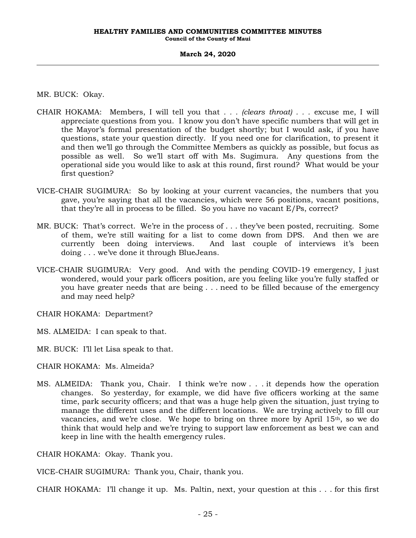MR. BUCK: Okay.

- CHAIR HOKAMA: Members, I will tell you that *. . . (clears throat) . . .* excuse me, I will appreciate questions from you. I know you don't have specific numbers that will get in the Mayor's formal presentation of the budget shortly; but I would ask, if you have questions, state your question directly. If you need one for clarification, to present it and then we'll go through the Committee Members as quickly as possible, but focus as possible as well. So we'll start off with Ms. Sugimura. Any questions from the operational side you would like to ask at this round, first round? What would be your first question?
- VICE-CHAIR SUGIMURA: So by looking at your current vacancies, the numbers that you gave, you're saying that all the vacancies, which were 56 positions, vacant positions, that they're all in process to be filled. So you have no vacant E/Ps, correct?
- MR. BUCK: That's correct. We're in the process of . . . they've been posted, recruiting. Some of them, we're still waiting for a list to come down from DPS. And then we are currently been doing interviews. And last couple of interviews it's been doing . . . we've done it through BlueJeans.
- VICE-CHAIR SUGIMURA: Very good. And with the pending COVID-19 emergency, I just wondered, would your park officers position, are you feeling like you're fully staffed or you have greater needs that are being . . . need to be filled because of the emergency and may need help?

CHAIR HOKAMA: Department?

MS. ALMEIDA: I can speak to that.

MR. BUCK: I'll let Lisa speak to that.

CHAIR HOKAMA: Ms. Almeida?

MS. ALMEIDA: Thank you, Chair. I think we're now . . . it depends how the operation changes. So yesterday, for example, we did have five officers working at the same time, park security officers; and that was a huge help given the situation, just trying to manage the different uses and the different locations. We are trying actively to fill our vacancies, and we're close. We hope to bring on three more by April 15th, so we do think that would help and we're trying to support law enforcement as best we can and keep in line with the health emergency rules.

CHAIR HOKAMA: Okay. Thank you.

VICE-CHAIR SUGIMURA: Thank you, Chair, thank you.

CHAIR HOKAMA: I'll change it up. Ms. Paltin, next, your question at this . . . for this first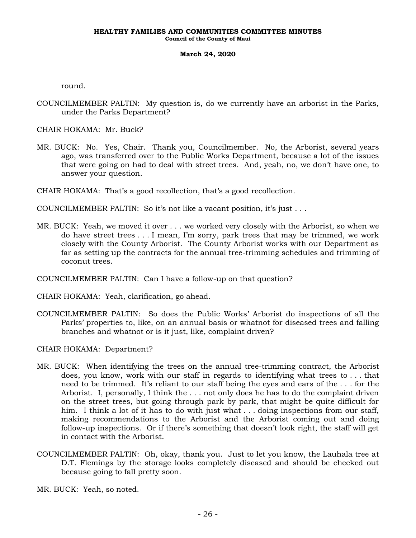round.

COUNCILMEMBER PALTIN: My question is, do we currently have an arborist in the Parks, under the Parks Department?

CHAIR HOKAMA: Mr. Buck?

MR. BUCK: No. Yes, Chair. Thank you, Councilmember. No, the Arborist, several years ago, was transferred over to the Public Works Department, because a lot of the issues that were going on had to deal with street trees. And, yeah, no, we don't have one, to answer your question.

CHAIR HOKAMA: That's a good recollection, that's a good recollection.

COUNCILMEMBER PALTIN: So it's not like a vacant position, it's just . . .

MR. BUCK: Yeah, we moved it over . . . we worked very closely with the Arborist, so when we do have street trees . . . I mean, I'm sorry, park trees that may be trimmed, we work closely with the County Arborist. The County Arborist works with our Department as far as setting up the contracts for the annual tree-trimming schedules and trimming of coconut trees.

COUNCILMEMBER PALTIN: Can I have a follow-up on that question?

CHAIR HOKAMA: Yeah, clarification, go ahead.

COUNCILMEMBER PALTIN: So does the Public Works' Arborist do inspections of all the Parks' properties to, like, on an annual basis or whatnot for diseased trees and falling branches and whatnot or is it just, like, complaint driven?

CHAIR HOKAMA: Department?

- MR. BUCK: When identifying the trees on the annual tree-trimming contract, the Arborist does, you know, work with our staff in regards to identifying what trees to . . . that need to be trimmed. It's reliant to our staff being the eyes and ears of the . . . for the Arborist. I, personally, I think the . . . not only does he has to do the complaint driven on the street trees, but going through park by park, that might be quite difficult for him. I think a lot of it has to do with just what . . . doing inspections from our staff, making recommendations to the Arborist and the Arborist coming out and doing follow-up inspections. Or if there's something that doesn't look right, the staff will get in contact with the Arborist.
- COUNCILMEMBER PALTIN: Oh, okay, thank you. Just to let you know, the Lauhala tree at D.T. Flemings by the storage looks completely diseased and should be checked out because going to fall pretty soon.

MR. BUCK: Yeah, so noted.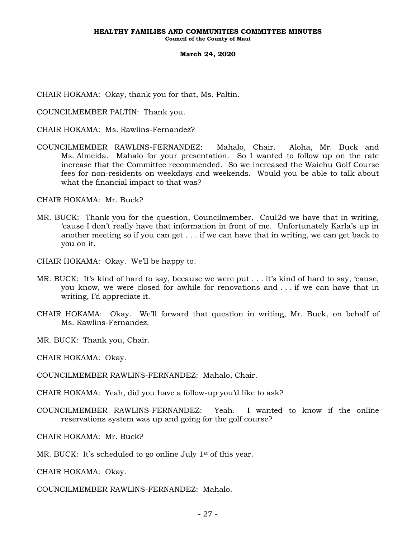CHAIR HOKAMA: Okay, thank you for that, Ms. Paltin.

COUNCILMEMBER PALTIN: Thank you.

CHAIR HOKAMA: Ms. Rawlins-Fernandez?

COUNCILMEMBER RAWLINS-FERNANDEZ: Mahalo, Chair. Aloha, Mr. Buck and Ms. Almeida. Mahalo for your presentation. So I wanted to follow up on the rate increase that the Committee recommended. So we increased the Waiehu Golf Course fees for non-residents on weekdays and weekends. Would you be able to talk about what the financial impact to that was?

CHAIR HOKAMA: Mr. Buck?

MR. BUCK: Thank you for the question, Councilmember. Coul2d we have that in writing, 'cause I don't really have that information in front of me. Unfortunately Karla's up in another meeting so if you can get . . . if we can have that in writing, we can get back to you on it.

CHAIR HOKAMA: Okay. We'll be happy to.

- MR. BUCK: It's kind of hard to say, because we were put . . . it's kind of hard to say, 'cause, you know, we were closed for awhile for renovations and . . . if we can have that in writing, I'd appreciate it.
- CHAIR HOKAMA: Okay. We'll forward that question in writing, Mr. Buck, on behalf of Ms. Rawlins-Fernandez.

MR. BUCK: Thank you, Chair.

CHAIR HOKAMA: Okay.

COUNCILMEMBER RAWLINS-FERNANDEZ: Mahalo, Chair.

CHAIR HOKAMA: Yeah, did you have a follow-up you'd like to ask?

COUNCILMEMBER RAWLINS-FERNANDEZ: Yeah. I wanted to know if the online reservations system was up and going for the golf course?

CHAIR HOKAMA: Mr. Buck?

MR. BUCK: It's scheduled to go online July 1<sup>st</sup> of this year.

CHAIR HOKAMA: Okay.

COUNCILMEMBER RAWLINS-FERNANDEZ: Mahalo.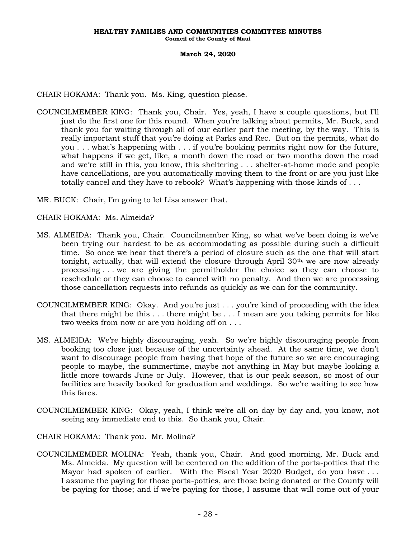CHAIR HOKAMA: Thank you. Ms. King, question please.

COUNCILMEMBER KING: Thank you, Chair. Yes, yeah, I have a couple questions, but I'll just do the first one for this round. When you're talking about permits, Mr. Buck, and thank you for waiting through all of our earlier part the meeting, by the way. This is really important stuff that you're doing at Parks and Rec. But on the permits, what do you . . . what's happening with . . . if you're booking permits right now for the future, what happens if we get, like, a month down the road or two months down the road and we're still in this, you know, this sheltering . . . shelter-at-home mode and people have cancellations, are you automatically moving them to the front or are you just like totally cancel and they have to rebook? What's happening with those kinds of . . .

MR. BUCK: Chair, I'm going to let Lisa answer that.

CHAIR HOKAMA: Ms. Almeida?

- MS. ALMEIDA: Thank you, Chair. Councilmember King, so what we've been doing is we've been trying our hardest to be as accommodating as possible during such a difficult time. So once we hear that there's a period of closure such as the one that will start tonight, actually, that will extend the closure through April  $30<sup>th</sup>$ , we are now already processing . . . we are giving the permitholder the choice so they can choose to reschedule or they can choose to cancel with no penalty. And then we are processing those cancellation requests into refunds as quickly as we can for the community.
- COUNCILMEMBER KING: Okay. And you're just . . . you're kind of proceeding with the idea that there might be this . . . there might be . . . I mean are you taking permits for like two weeks from now or are you holding off on . . .
- MS. ALMEIDA: We're highly discouraging, yeah. So we're highly discouraging people from booking too close just because of the uncertainty ahead. At the same time, we don't want to discourage people from having that hope of the future so we are encouraging people to maybe, the summertime, maybe not anything in May but maybe looking a little more towards June or July. However, that is our peak season, so most of our facilities are heavily booked for graduation and weddings. So we're waiting to see how this fares.
- COUNCILMEMBER KING: Okay, yeah, I think we're all on day by day and, you know, not seeing any immediate end to this. So thank you, Chair.

CHAIR HOKAMA: Thank you. Mr. Molina?

COUNCILMEMBER MOLINA: Yeah, thank you, Chair. And good morning, Mr. Buck and Ms. Almeida. My question will be centered on the addition of the porta-potties that the Mayor had spoken of earlier. With the Fiscal Year 2020 Budget, do you have . . . I assume the paying for those porta-potties, are those being donated or the County will be paying for those; and if we're paying for those, I assume that will come out of your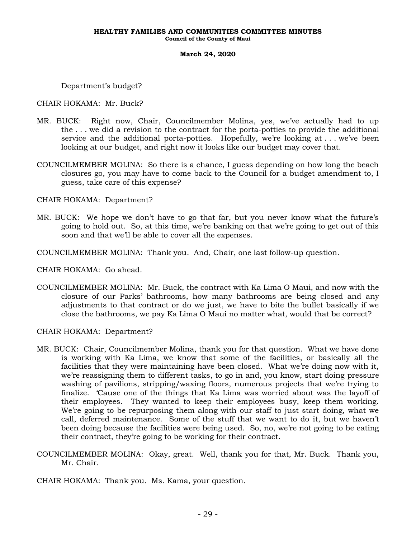Department's budget?

### CHAIR HOKAMA: Mr. Buck?

- MR. BUCK: Right now, Chair, Councilmember Molina, yes, we've actually had to up the . . . we did a revision to the contract for the porta-potties to provide the additional service and the additional porta-potties. Hopefully, we're looking at . . . we've been looking at our budget, and right now it looks like our budget may cover that.
- COUNCILMEMBER MOLINA: So there is a chance, I guess depending on how long the beach closures go, you may have to come back to the Council for a budget amendment to, I guess, take care of this expense?

CHAIR HOKAMA: Department?

- MR. BUCK: We hope we don't have to go that far, but you never know what the future's going to hold out. So, at this time, we're banking on that we're going to get out of this soon and that we'll be able to cover all the expenses.
- COUNCILMEMBER MOLINA: Thank you. And, Chair, one last follow-up question.

CHAIR HOKAMA: Go ahead.

COUNCILMEMBER MOLINA: Mr. Buck, the contract with Ka Lima O Maui, and now with the closure of our Parks' bathrooms, how many bathrooms are being closed and any adjustments to that contract or do we just, we have to bite the bullet basically if we close the bathrooms, we pay Ka Lima O Maui no matter what, would that be correct?

CHAIR HOKAMA: Department?

- MR. BUCK: Chair, Councilmember Molina, thank you for that question. What we have done is working with Ka Lima, we know that some of the facilities, or basically all the facilities that they were maintaining have been closed. What we're doing now with it, we're reassigning them to different tasks, to go in and, you know, start doing pressure washing of pavilions, stripping/waxing floors, numerous projects that we're trying to finalize. 'Cause one of the things that Ka Lima was worried about was the layoff of their employees. They wanted to keep their employees busy, keep them working. We're going to be repurposing them along with our staff to just start doing, what we call, deferred maintenance. Some of the stuff that we want to do it, but we haven't been doing because the facilities were being used. So, no, we're not going to be eating their contract, they're going to be working for their contract.
- COUNCILMEMBER MOLINA: Okay, great. Well, thank you for that, Mr. Buck. Thank you, Mr. Chair.
- CHAIR HOKAMA: Thank you. Ms. Kama, your question.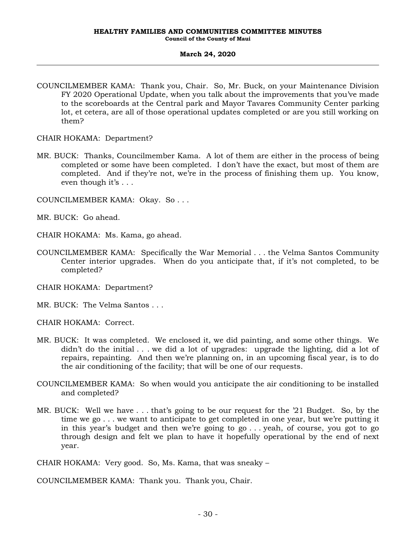COUNCILMEMBER KAMA: Thank you, Chair. So, Mr. Buck, on your Maintenance Division FY 2020 Operational Update, when you talk about the improvements that you've made to the scoreboards at the Central park and Mayor Tavares Community Center parking lot, et cetera, are all of those operational updates completed or are you still working on them?

CHAIR HOKAMA: Department?

MR. BUCK: Thanks, Councilmember Kama. A lot of them are either in the process of being completed or some have been completed. I don't have the exact, but most of them are completed. And if they're not, we're in the process of finishing them up. You know, even though it's . . .

COUNCILMEMBER KAMA: Okay. So . . .

MR. BUCK: Go ahead.

CHAIR HOKAMA: Ms. Kama, go ahead.

COUNCILMEMBER KAMA: Specifically the War Memorial . . . the Velma Santos Community Center interior upgrades. When do you anticipate that, if it's not completed, to be completed?

CHAIR HOKAMA: Department?

MR. BUCK: The Velma Santos . . .

CHAIR HOKAMA: Correct.

- MR. BUCK: It was completed. We enclosed it, we did painting, and some other things. We didn't do the initial . . . we did a lot of upgrades: upgrade the lighting, did a lot of repairs, repainting. And then we're planning on, in an upcoming fiscal year, is to do the air conditioning of the facility; that will be one of our requests.
- COUNCILMEMBER KAMA: So when would you anticipate the air conditioning to be installed and completed?
- MR. BUCK: Well we have . . . that's going to be our request for the '21 Budget. So, by the time we go . . . we want to anticipate to get completed in one year, but we're putting it in this year's budget and then we're going to go . . . yeah, of course, you got to go through design and felt we plan to have it hopefully operational by the end of next year.

CHAIR HOKAMA: Very good. So, Ms. Kama, that was sneaky –

COUNCILMEMBER KAMA: Thank you. Thank you, Chair.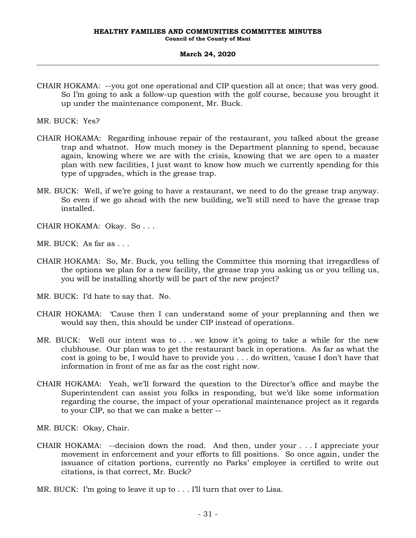CHAIR HOKAMA: --you got one operational and CIP question all at once; that was very good. So I'm going to ask a follow-up question with the golf course, because you brought it up under the maintenance component, Mr. Buck.

MR. BUCK: Yes?

- CHAIR HOKAMA: Regarding inhouse repair of the restaurant, you talked about the grease trap and whatnot. How much money is the Department planning to spend, because again, knowing where we are with the crisis, knowing that we are open to a master plan with new facilities, I just want to know how much we currently spending for this type of upgrades, which is the grease trap.
- MR. BUCK: Well, if we're going to have a restaurant, we need to do the grease trap anyway. So even if we go ahead with the new building, we'll still need to have the grease trap installed.
- CHAIR HOKAMA: Okay. So . . .
- MR. BUCK: As far as . . .
- CHAIR HOKAMA: So, Mr. Buck, you telling the Committee this morning that irregardless of the options we plan for a new facility, the grease trap you asking us or you telling us, you will be installing shortly will be part of the new project?
- MR. BUCK: I'd hate to say that. No.
- CHAIR HOKAMA: 'Cause then I can understand some of your preplanning and then we would say then, this should be under CIP instead of operations.
- MR. BUCK: Well our intent was to . . . we know it's going to take a while for the new clubhouse. Our plan was to get the restaurant back in operations. As far as what the cost is going to be, I would have to provide you . . . do written, 'cause I don't have that information in front of me as far as the cost right now.
- CHAIR HOKAMA: Yeah, we'll forward the question to the Director's office and maybe the Superintendent can assist you folks in responding, but we'd like some information regarding the course, the impact of your operational maintenance project as it regards to your CIP, so that we can make a better --

MR. BUCK: Okay, Chair.

- CHAIR HOKAMA: --decision down the road. And then, under your . . . I appreciate your movement in enforcement and your efforts to fill positions. So once again, under the issuance of citation portions, currently no Parks' employee is certified to write out citations, is that correct, Mr. Buck?
- MR. BUCK: I'm going to leave it up to . . . I'll turn that over to Lisa.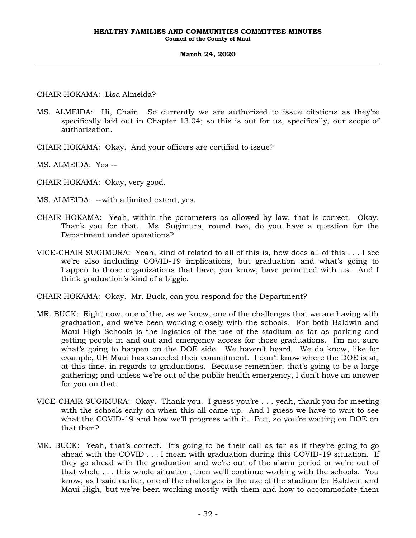CHAIR HOKAMA: Lisa Almeida?

- MS. ALMEIDA: Hi, Chair. So currently we are authorized to issue citations as they're specifically laid out in Chapter 13.04; so this is out for us, specifically, our scope of authorization.
- CHAIR HOKAMA: Okay. And your officers are certified to issue?
- MS. ALMEIDA: Yes --
- CHAIR HOKAMA: Okay, very good.
- MS. ALMEIDA: --with a limited extent, yes.
- CHAIR HOKAMA: Yeah, within the parameters as allowed by law, that is correct. Okay. Thank you for that. Ms. Sugimura, round two, do you have a question for the Department under operations?
- VICE-CHAIR SUGIMURA: Yeah, kind of related to all of this is, how does all of this . . . I see we're also including COVID-19 implications, but graduation and what's going to happen to those organizations that have, you know, have permitted with us. And I think graduation's kind of a biggie.
- CHAIR HOKAMA: Okay. Mr. Buck, can you respond for the Department?
- MR. BUCK: Right now, one of the, as we know, one of the challenges that we are having with graduation, and we've been working closely with the schools. For both Baldwin and Maui High Schools is the logistics of the use of the stadium as far as parking and getting people in and out and emergency access for those graduations. I'm not sure what's going to happen on the DOE side. We haven't heard. We do know, like for example, UH Maui has canceled their commitment. I don't know where the DOE is at, at this time, in regards to graduations. Because remember, that's going to be a large gathering; and unless we're out of the public health emergency, I don't have an answer for you on that.
- VICE-CHAIR SUGIMURA: Okay. Thank you. I guess you're ... yeah, thank you for meeting with the schools early on when this all came up. And I guess we have to wait to see what the COVID-19 and how we'll progress with it. But, so you're waiting on DOE on that then?
- MR. BUCK: Yeah, that's correct. It's going to be their call as far as if they're going to go ahead with the COVID . . . I mean with graduation during this COVID-19 situation. If they go ahead with the graduation and we're out of the alarm period or we're out of that whole . . . this whole situation, then we'll continue working with the schools. You know, as I said earlier, one of the challenges is the use of the stadium for Baldwin and Maui High, but we've been working mostly with them and how to accommodate them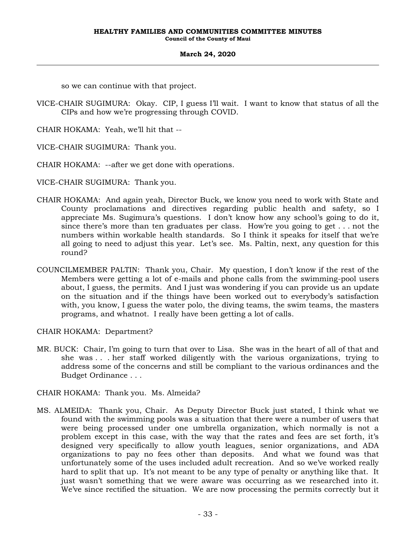so we can continue with that project.

VICE-CHAIR SUGIMURA: Okay. CIP, I guess I'll wait. I want to know that status of all the CIPs and how we're progressing through COVID.

CHAIR HOKAMA: Yeah, we'll hit that --

VICE-CHAIR SUGIMURA: Thank you.

CHAIR HOKAMA: --after we get done with operations.

VICE-CHAIR SUGIMURA: Thank you.

CHAIR HOKAMA: And again yeah, Director Buck, we know you need to work with State and County proclamations and directives regarding public health and safety, so I appreciate Ms. Sugimura's questions. I don't know how any school's going to do it, since there's more than ten graduates per class. How're you going to get . . . not the numbers within workable health standards. So I think it speaks for itself that we're all going to need to adjust this year. Let's see. Ms. Paltin, next, any question for this round?

COUNCILMEMBER PALTIN: Thank you, Chair. My question, I don't know if the rest of the Members were getting a lot of e-mails and phone calls from the swimming-pool users about, I guess, the permits. And I just was wondering if you can provide us an update on the situation and if the things have been worked out to everybody's satisfaction with, you know, I guess the water polo, the diving teams, the swim teams, the masters programs, and whatnot. I really have been getting a lot of calls.

CHAIR HOKAMA: Department?

MR. BUCK: Chair, I'm going to turn that over to Lisa. She was in the heart of all of that and she was . . . her staff worked diligently with the various organizations, trying to address some of the concerns and still be compliant to the various ordinances and the Budget Ordinance . . .

CHAIR HOKAMA: Thank you. Ms. Almeida?

MS. ALMEIDA: Thank you, Chair. As Deputy Director Buck just stated, I think what we found with the swimming pools was a situation that there were a number of users that were being processed under one umbrella organization, which normally is not a problem except in this case, with the way that the rates and fees are set forth, it's designed very specifically to allow youth leagues, senior organizations, and ADA organizations to pay no fees other than deposits. And what we found was that unfortunately some of the uses included adult recreation. And so we've worked really hard to split that up. It's not meant to be any type of penalty or anything like that. It just wasn't something that we were aware was occurring as we researched into it. We've since rectified the situation. We are now processing the permits correctly but it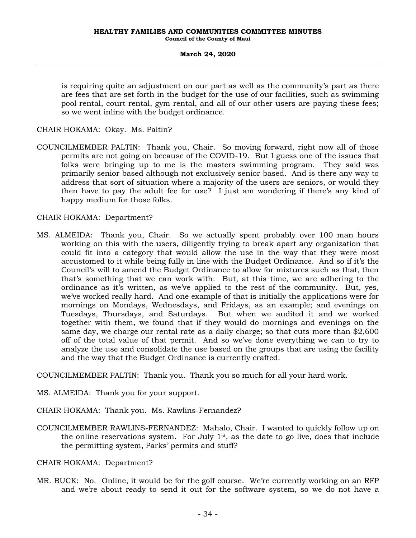is requiring quite an adjustment on our part as well as the community's part as there are fees that are set forth in the budget for the use of our facilities, such as swimming pool rental, court rental, gym rental, and all of our other users are paying these fees; so we went inline with the budget ordinance.

CHAIR HOKAMA: Okay. Ms. Paltin?

COUNCILMEMBER PALTIN: Thank you, Chair. So moving forward, right now all of those permits are not going on because of the COVID-19. But I guess one of the issues that folks were bringing up to me is the masters swimming program. They said was primarily senior based although not exclusively senior based. And is there any way to address that sort of situation where a majority of the users are seniors, or would they then have to pay the adult fee for use? I just am wondering if there's any kind of happy medium for those folks.

### CHAIR HOKAMA: Department?

MS. ALMEIDA: Thank you, Chair. So we actually spent probably over 100 man hours working on this with the users, diligently trying to break apart any organization that could fit into a category that would allow the use in the way that they were most accustomed to it while being fully in line with the Budget Ordinance. And so if it's the Council's will to amend the Budget Ordinance to allow for mixtures such as that, then that's something that we can work with. But, at this time, we are adhering to the ordinance as it's written, as we've applied to the rest of the community. But, yes, we've worked really hard. And one example of that is initially the applications were for mornings on Mondays, Wednesdays, and Fridays, as an example; and evenings on Tuesdays, Thursdays, and Saturdays. But when we audited it and we worked together with them, we found that if they would do mornings and evenings on the same day, we charge our rental rate as a daily charge; so that cuts more than \$2,600 off of the total value of that permit. And so we've done everything we can to try to analyze the use and consolidate the use based on the groups that are using the facility and the way that the Budget Ordinance is currently crafted.

COUNCILMEMBER PALTIN: Thank you. Thank you so much for all your hard work.

MS. ALMEIDA: Thank you for your support.

- CHAIR HOKAMA: Thank you. Ms. Rawlins-Fernandez?
- COUNCILMEMBER RAWLINS-FERNANDEZ: Mahalo, Chair. I wanted to quickly follow up on the online reservations system. For July  $1<sup>st</sup>$ , as the date to go live, does that include the permitting system, Parks' permits and stuff?
- CHAIR HOKAMA: Department?
- MR. BUCK: No. Online, it would be for the golf course. We're currently working on an RFP and we're about ready to send it out for the software system, so we do not have a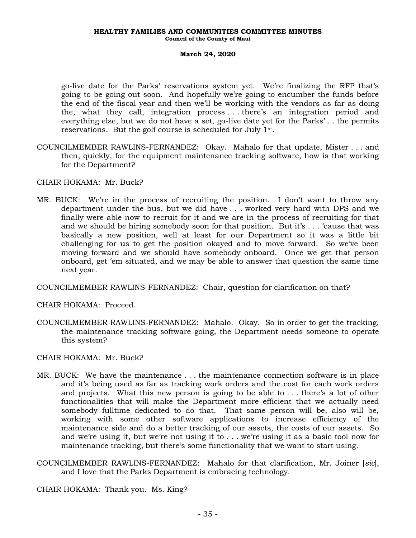go-live date for the Parks' reservations system yet. We're finalizing the RFP that's going to be going out soon. And hopefully we're going to encumber the funds before the end of the fiscal year and then we'll be working with the vendors as far as doing the, what they call, integration process . . . there's an integration period and everything else, but we do not have a set, go-live date yet for the Parks' . . the permits reservations. But the golf course is scheduled for July  $1<sup>st</sup>$ .

COUNCILMEMBER RAWLINS-FERNANDEZ: Okay. Mahalo for that update, Mister . . . and then, quickly, for the equipment maintenance tracking software, how is that working for the Department?

CHAIR HOKAMA: Mr. Buck?

MR. BUCK: We're in the process of recruiting the position. I don't want to throw any department under the bus, but we did have . . . worked very hard with DPS and we finally were able now to recruit for it and we are in the process of recruiting for that and we should be hiring somebody soon for that position. But it's . . . 'cause that was basically a new position, well at least for our Department so it was a little bit challenging for us to get the position okayed and to move forward. So we've been moving forward and we should have somebody onboard. Once we get that person onboard, get 'em situated, and we may be able to answer that question the same time next year.

COUNCILMEMBER RAWLINS-FERNANDEZ: Chair, question for clarification on that?

CHAIR HOKAMA: Proceed.

COUNCILMEMBER RAWLINS-FERNANDEZ: Mahalo. Okay. So in order to get the tracking, the maintenance tracking software going, the Department needs someone to operate this system?

CHAIR HOKAMA: Mr. Buck?

- MR. BUCK: We have the maintenance . . . the maintenance connection software is in place and it's being used as far as tracking work orders and the cost for each work orders and projects. What this new person is going to be able to . . . there's a lot of other functionalities that will make the Department more efficient that we actually need somebody fulltime dedicated to do that. That same person will be, also will be, working with some other software applications to increase efficiency of the maintenance side and do a better tracking of our assets, the costs of our assets. So and we're using it, but we're not using it to . . . we're using it as a basic tool now for maintenance tracking, but there's some functionality that we want to start using.
- COUNCILMEMBER RAWLINS-FERNANDEZ: Mahalo for that clarification, Mr. Joiner [*sic*], and I love that the Parks Department is embracing technology.

CHAIR HOKAMA: Thank you. Ms. King?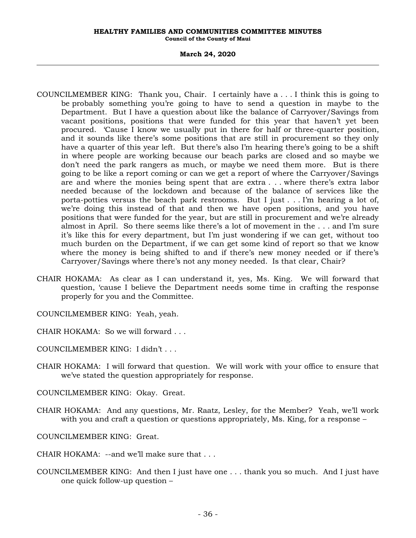- COUNCILMEMBER KING: Thank you, Chair. I certainly have a . . . I think this is going to be probably something you're going to have to send a question in maybe to the Department. But I have a question about like the balance of Carryover/Savings from vacant positions, positions that were funded for this year that haven't yet been procured. 'Cause I know we usually put in there for half or three-quarter position, and it sounds like there's some positions that are still in procurement so they only have a quarter of this year left. But there's also I'm hearing there's going to be a shift in where people are working because our beach parks are closed and so maybe we don't need the park rangers as much, or maybe we need them more. But is there going to be like a report coming or can we get a report of where the Carryover/Savings are and where the monies being spent that are extra . . . where there's extra labor needed because of the lockdown and because of the balance of services like the porta-potties versus the beach park restrooms. But I just . . . I'm hearing a lot of, we're doing this instead of that and then we have open positions, and you have positions that were funded for the year, but are still in procurement and we're already almost in April. So there seems like there's a lot of movement in the . . . and I'm sure it's like this for every department, but I'm just wondering if we can get, without too much burden on the Department, if we can get some kind of report so that we know where the money is being shifted to and if there's new money needed or if there's Carryover/Savings where there's not any money needed. Is that clear, Chair?
- CHAIR HOKAMA: As clear as I can understand it, yes, Ms. King. We will forward that question, 'cause I believe the Department needs some time in crafting the response properly for you and the Committee.
- COUNCILMEMBER KING: Yeah, yeah.
- CHAIR HOKAMA: So we will forward . . .
- COUNCILMEMBER KING: I didn't . . .
- CHAIR HOKAMA: I will forward that question. We will work with your office to ensure that we've stated the question appropriately for response.
- COUNCILMEMBER KING: Okay. Great.
- CHAIR HOKAMA: And any questions, Mr. Raatz, Lesley, for the Member? Yeah, we'll work with you and craft a question or questions appropriately, Ms. King, for a response –

COUNCILMEMBER KING: Great.

- CHAIR HOKAMA: --and we'll make sure that . . .
- COUNCILMEMBER KING: And then I just have one . . . thank you so much. And I just have one quick follow-up question –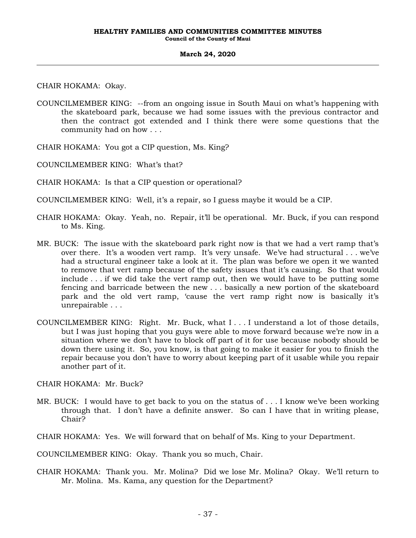CHAIR HOKAMA: Okay.

- COUNCILMEMBER KING: --from an ongoing issue in South Maui on what's happening with the skateboard park, because we had some issues with the previous contractor and then the contract got extended and I think there were some questions that the community had on how . . .
- CHAIR HOKAMA: You got a CIP question, Ms. King?

COUNCILMEMBER KING: What's that?

CHAIR HOKAMA: Is that a CIP question or operational?

COUNCILMEMBER KING: Well, it's a repair, so I guess maybe it would be a CIP.

- CHAIR HOKAMA: Okay. Yeah, no. Repair, it'll be operational. Mr. Buck, if you can respond to Ms. King.
- MR. BUCK: The issue with the skateboard park right now is that we had a vert ramp that's over there. It's a wooden vert ramp. It's very unsafe. We've had structural . . . we've had a structural engineer take a look at it. The plan was before we open it we wanted to remove that vert ramp because of the safety issues that it's causing. So that would include . . . if we did take the vert ramp out, then we would have to be putting some fencing and barricade between the new . . . basically a new portion of the skateboard park and the old vert ramp, 'cause the vert ramp right now is basically it's unrepairable . . .
- COUNCILMEMBER KING: Right. Mr. Buck, what I . . . I understand a lot of those details, but I was just hoping that you guys were able to move forward because we're now in a situation where we don't have to block off part of it for use because nobody should be down there using it. So, you know, is that going to make it easier for you to finish the repair because you don't have to worry about keeping part of it usable while you repair another part of it.

CHAIR HOKAMA: Mr. Buck?

- MR. BUCK: I would have to get back to you on the status of . . . I know we've been working through that. I don't have a definite answer. So can I have that in writing please, Chair?
- CHAIR HOKAMA: Yes. We will forward that on behalf of Ms. King to your Department.

COUNCILMEMBER KING: Okay. Thank you so much, Chair.

CHAIR HOKAMA: Thank you. Mr. Molina? Did we lose Mr. Molina? Okay. We'll return to Mr. Molina. Ms. Kama, any question for the Department?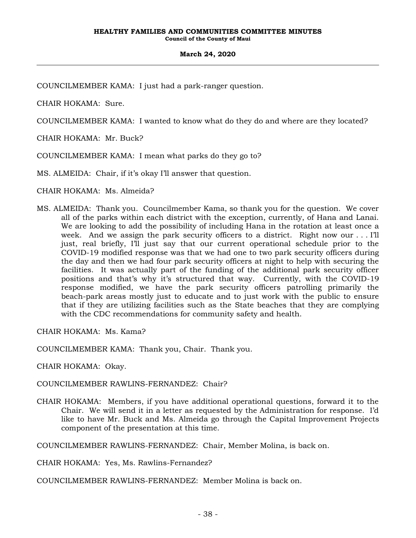COUNCILMEMBER KAMA: I just had a park-ranger question.

CHAIR HOKAMA: Sure.

COUNCILMEMBER KAMA: I wanted to know what do they do and where are they located?

CHAIR HOKAMA: Mr. Buck?

COUNCILMEMBER KAMA: I mean what parks do they go to?

MS. ALMEIDA: Chair, if it's okay I'll answer that question.

CHAIR HOKAMA: Ms. Almeida?

MS. ALMEIDA: Thank you. Councilmember Kama, so thank you for the question. We cover all of the parks within each district with the exception, currently, of Hana and Lanai. We are looking to add the possibility of including Hana in the rotation at least once a week. And we assign the park security officers to a district. Right now our . . . I'll just, real briefly, I'll just say that our current operational schedule prior to the COVID-19 modified response was that we had one to two park security officers during the day and then we had four park security officers at night to help with securing the facilities. It was actually part of the funding of the additional park security officer positions and that's why it's structured that way. Currently, with the COVID-19 response modified, we have the park security officers patrolling primarily the beach-park areas mostly just to educate and to just work with the public to ensure that if they are utilizing facilities such as the State beaches that they are complying with the CDC recommendations for community safety and health.

CHAIR HOKAMA: Ms. Kama?

COUNCILMEMBER KAMA: Thank you, Chair. Thank you.

CHAIR HOKAMA: Okay.

COUNCILMEMBER RAWLINS-FERNANDEZ: Chair?

CHAIR HOKAMA: Members, if you have additional operational questions, forward it to the Chair. We will send it in a letter as requested by the Administration for response. I'd like to have Mr. Buck and Ms. Almeida go through the Capital Improvement Projects component of the presentation at this time.

COUNCILMEMBER RAWLINS-FERNANDEZ: Chair, Member Molina, is back on.

CHAIR HOKAMA: Yes, Ms. Rawlins-Fernandez?

COUNCILMEMBER RAWLINS-FERNANDEZ: Member Molina is back on.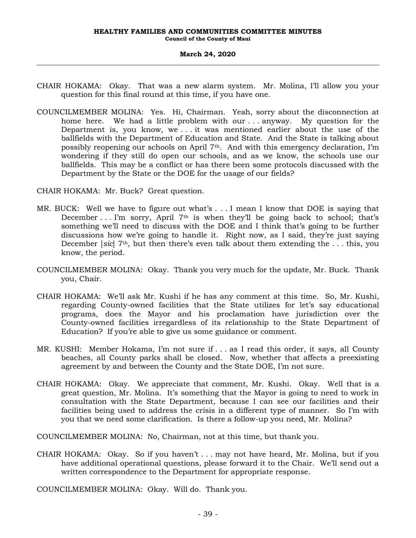- CHAIR HOKAMA: Okay. That was a new alarm system. Mr. Molina, I'll allow you your question for this final round at this time, if you have one.
- COUNCILMEMBER MOLINA: Yes. Hi, Chairman. Yeah, sorry about the disconnection at home here. We had a little problem with our . . . anyway. My question for the Department is, you know, we . . . it was mentioned earlier about the use of the ballfields with the Department of Education and State. And the State is talking about possibly reopening our schools on April 7th. And with this emergency declaration, I'm wondering if they still do open our schools, and as we know, the schools use our ballfields. This may be a conflict or has there been some protocols discussed with the Department by the State or the DOE for the usage of our fields?

CHAIR HOKAMA: Mr. Buck? Great question.

- MR. BUCK: Well we have to figure out what's . . . I mean I know that DOE is saying that December . . I'm sorry, April 7<sup>th</sup> is when they'll be going back to school; that's something we'll need to discuss with the DOE and I think that's going to be further discussions how we're going to handle it. Right now, as I said, they're just saying December *sic* 7<sup>th</sup>, but then there's even talk about them extending the ... this, you know, the period.
- COUNCILMEMBER MOLINA: Okay. Thank you very much for the update, Mr. Buck. Thank you, Chair.
- CHAIR HOKAMA: We'll ask Mr. Kushi if he has any comment at this time. So, Mr. Kushi, regarding County-owned facilities that the State utilizes for let's say educational programs, does the Mayor and his proclamation have jurisdiction over the County-owned facilities irregardless of its relationship to the State Department of Education? If you're able to give us some guidance or comment.
- MR. KUSHI: Member Hokama, I'm not sure if . . . as I read this order, it says, all County beaches, all County parks shall be closed. Now, whether that affects a preexisting agreement by and between the County and the State DOE, I'm not sure.
- CHAIR HOKAMA: Okay. We appreciate that comment, Mr. Kushi. Okay. Well that is a great question, Mr. Molina. It's something that the Mayor is going to need to work in consultation with the State Department, because I can see our facilities and their facilities being used to address the crisis in a different type of manner. So I'm with you that we need some clarification. Is there a follow-up you need, Mr. Molina?

COUNCILMEMBER MOLINA: No, Chairman, not at this time, but thank you.

CHAIR HOKAMA: Okay. So if you haven't . . . may not have heard, Mr. Molina, but if you have additional operational questions, please forward it to the Chair. We'll send out a written correspondence to the Department for appropriate response.

COUNCILMEMBER MOLINA: Okay. Will do. Thank you.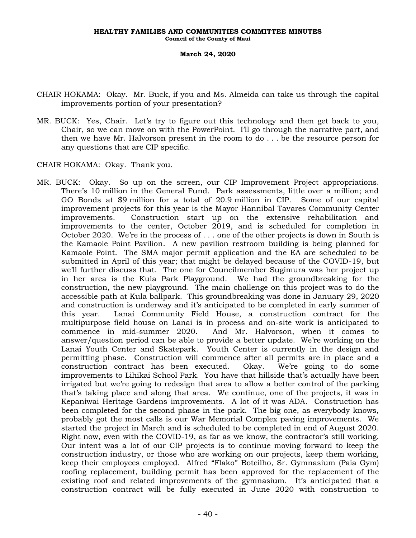- CHAIR HOKAMA: Okay. Mr. Buck, if you and Ms. Almeida can take us through the capital improvements portion of your presentation?
- MR. BUCK: Yes, Chair. Let's try to figure out this technology and then get back to you, Chair, so we can move on with the PowerPoint. I'll go through the narrative part, and then we have Mr. Halvorson present in the room to do . . . be the resource person for any questions that are CIP specific.

CHAIR HOKAMA: Okay. Thank you.

MR. BUCK: Okay. So up on the screen, our CIP Improvement Project appropriations. There's 10 million in the General Fund. Park assessments, little over a million; and GO Bonds at \$9 million for a total of 20.9 million in CIP. Some of our capital improvement projects for this year is the Mayor Hannibal Tavares Community Center improvements. Construction start up on the extensive rehabilitation and improvements to the center, October 2019, and is scheduled for completion in October 2020. We're in the process of . . . one of the other projects is down in South is the Kamaole Point Pavilion. A new pavilion restroom building is being planned for Kamaole Point. The SMA major permit application and the EA are scheduled to be submitted in April of this year; that might be delayed because of the COVID-19, but we'll further discuss that. The one for Councilmember Sugimura was her project up in her area is the Kula Park Playground. We had the groundbreaking for the construction, the new playground. The main challenge on this project was to do the accessible path at Kula ballpark. This groundbreaking was done in January 29, 2020 and construction is underway and it's anticipated to be completed in early summer of this year. Lanai Community Field House, a construction contract for the multipurpose field house on Lanai is in process and on-site work is anticipated to commence in mid-summer 2020. And Mr. Halvorson, when it comes to answer/question period can be able to provide a better update. We're working on the Lanai Youth Center and Skatepark. Youth Center is currently in the design and permitting phase. Construction will commence after all permits are in place and a construction contract has been executed. Okay. We're going to do some improvements to Lihikai School Park. You have that hillside that's actually have been irrigated but we're going to redesign that area to allow a better control of the parking that's taking place and along that area. We continue, one of the projects, it was in Kepaniwai Heritage Gardens improvements. A lot of it was ADA. Construction has been completed for the second phase in the park. The big one, as everybody knows, probably got the most calls is our War Memorial Complex paving improvements. We started the project in March and is scheduled to be completed in end of August 2020. Right now, even with the COVID-19, as far as we know, the contractor's still working. Our intent was a lot of our CIP projects is to continue moving forward to keep the construction industry, or those who are working on our projects, keep them working, keep their employees employed. Alfred "Flako" Boteilho, Sr. Gymnasium (Paia Gym) roofing replacement, building permit has been approved for the replacement of the existing roof and related improvements of the gymnasium. It's anticipated that a construction contract will be fully executed in June 2020 with construction to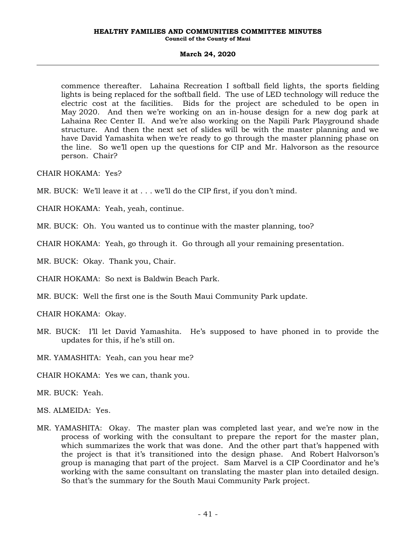### **March 24, 2020**

commence thereafter. Lahaina Recreation I softball field lights, the sports fielding lights is being replaced for the softball field. The use of LED technology will reduce the electric cost at the facilities. Bids for the project are scheduled to be open in May 2020. And then we're working on an in-house design for a new dog park at Lahaina Rec Center II. And we're also working on the Napili Park Playground shade structure. And then the next set of slides will be with the master planning and we have David Yamashita when we're ready to go through the master planning phase on the line. So we'll open up the questions for CIP and Mr. Halvorson as the resource person. Chair?

CHAIR HOKAMA: Yes?

MR. BUCK: We'll leave it at . . . we'll do the CIP first, if you don't mind.

CHAIR HOKAMA: Yeah, yeah, continue.

MR. BUCK: Oh. You wanted us to continue with the master planning, too?

CHAIR HOKAMA: Yeah, go through it. Go through all your remaining presentation.

MR. BUCK: Okay. Thank you, Chair.

CHAIR HOKAMA: So next is Baldwin Beach Park.

MR. BUCK: Well the first one is the South Maui Community Park update.

CHAIR HOKAMA: Okay.

MR. BUCK: I'll let David Yamashita. He's supposed to have phoned in to provide the updates for this, if he's still on.

MR. YAMASHITA: Yeah, can you hear me?

CHAIR HOKAMA: Yes we can, thank you.

MR. BUCK: Yeah.

MS. ALMEIDA: Yes.

MR. YAMASHITA: Okay. The master plan was completed last year, and we're now in the process of working with the consultant to prepare the report for the master plan, which summarizes the work that was done. And the other part that's happened with the project is that it's transitioned into the design phase. And Robert Halvorson's group is managing that part of the project. Sam Marvel is a CIP Coordinator and he's working with the same consultant on translating the master plan into detailed design. So that's the summary for the South Maui Community Park project.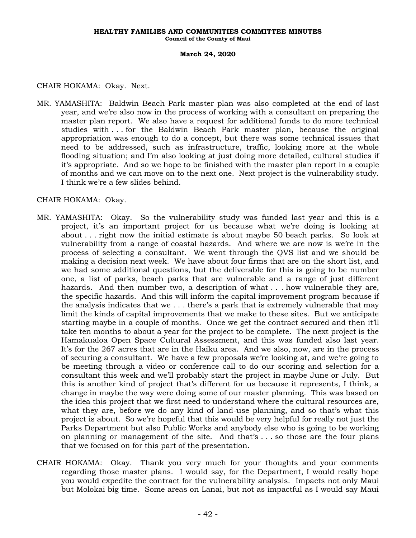CHAIR HOKAMA: Okay. Next.

MR. YAMASHITA: Baldwin Beach Park master plan was also completed at the end of last year, and we're also now in the process of working with a consultant on preparing the master plan report. We also have a request for additional funds to do more technical studies with . . . for the Baldwin Beach Park master plan, because the original appropriation was enough to do a concept, but there was some technical issues that need to be addressed, such as infrastructure, traffic, looking more at the whole flooding situation; and I'm also looking at just doing more detailed, cultural studies if it's appropriate. And so we hope to be finished with the master plan report in a couple of months and we can move on to the next one. Next project is the vulnerability study. I think we're a few slides behind.

### CHAIR HOKAMA: Okay.

- MR. YAMASHITA: Okay. So the vulnerability study was funded last year and this is a project, it's an important project for us because what we're doing is looking at about . . . right now the initial estimate is about maybe 50 beach parks. So look at vulnerability from a range of coastal hazards. And where we are now is we're in the process of selecting a consultant. We went through the QVS list and we should be making a decision next week. We have about four firms that are on the short list, and we had some additional questions, but the deliverable for this is going to be number one, a list of parks, beach parks that are vulnerable and a range of just different hazards. And then number two, a description of what . . . how vulnerable they are, the specific hazards. And this will inform the capital improvement program because if the analysis indicates that we . . . there's a park that is extremely vulnerable that may limit the kinds of capital improvements that we make to these sites. But we anticipate starting maybe in a couple of months. Once we get the contract secured and then it'll take ten months to about a year for the project to be complete. The next project is the Hamakualoa Open Space Cultural Assessment, and this was funded also last year. It's for the 267 acres that are in the Haiku area. And we also, now, are in the process of securing a consultant. We have a few proposals we're looking at, and we're going to be meeting through a video or conference call to do our scoring and selection for a consultant this week and we'll probably start the project in maybe June or July. But this is another kind of project that's different for us because it represents, I think, a change in maybe the way were doing some of our master planning. This was based on the idea this project that we first need to understand where the cultural resources are, what they are, before we do any kind of land-use planning, and so that's what this project is about. So we're hopeful that this would be very helpful for really not just the Parks Department but also Public Works and anybody else who is going to be working on planning or management of the site. And that's . . . so those are the four plans that we focused on for this part of the presentation.
- CHAIR HOKAMA: Okay. Thank you very much for your thoughts and your comments regarding those master plans. I would say, for the Department, I would really hope you would expedite the contract for the vulnerability analysis. Impacts not only Maui but Molokai big time. Some areas on Lanai, but not as impactful as I would say Maui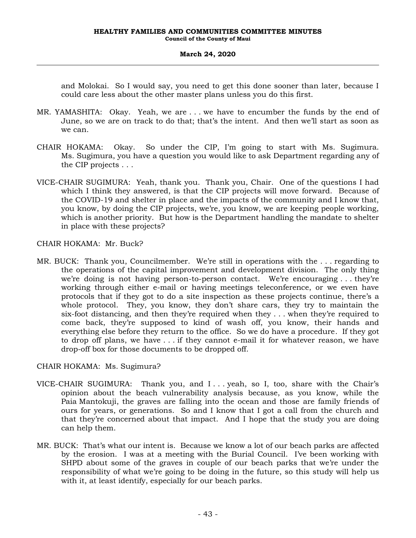and Molokai. So I would say, you need to get this done sooner than later, because I could care less about the other master plans unless you do this first.

- MR. YAMASHITA: Okay. Yeah, we are . . . we have to encumber the funds by the end of June, so we are on track to do that; that's the intent. And then we'll start as soon as we can.
- CHAIR HOKAMA: Okay. So under the CIP, I'm going to start with Ms. Sugimura. Ms. Sugimura, you have a question you would like to ask Department regarding any of the CIP projects . . .
- VICE-CHAIR SUGIMURA: Yeah, thank you. Thank you, Chair. One of the questions I had which I think they answered, is that the CIP projects will move forward. Because of the COVID-19 and shelter in place and the impacts of the community and I know that, you know, by doing the CIP projects, we're, you know, we are keeping people working, which is another priority. But how is the Department handling the mandate to shelter in place with these projects?

CHAIR HOKAMA: Mr. Buck?

MR. BUCK: Thank you, Councilmember. We're still in operations with the . . . regarding to the operations of the capital improvement and development division. The only thing we're doing is not having person-to-person contact. We're encouraging . . . they're working through either e-mail or having meetings teleconference, or we even have protocols that if they got to do a site inspection as these projects continue, there's a whole protocol. They, you know, they don't share cars, they try to maintain the six-foot distancing, and then they're required when they . . . when they're required to come back, they're supposed to kind of wash off, you know, their hands and everything else before they return to the office. So we do have a procedure. If they got to drop off plans, we have . . . if they cannot e-mail it for whatever reason, we have drop-off box for those documents to be dropped off.

CHAIR HOKAMA: Ms. Sugimura?

- VICE-CHAIR SUGIMURA: Thank you, and I . . . yeah, so I, too, share with the Chair's opinion about the beach vulnerability analysis because, as you know, while the Paia Mantokuji, the graves are falling into the ocean and those are family friends of ours for years, or generations. So and I know that I got a call from the church and that they're concerned about that impact. And I hope that the study you are doing can help them.
- MR. BUCK: That's what our intent is. Because we know a lot of our beach parks are affected by the erosion. I was at a meeting with the Burial Council. I've been working with SHPD about some of the graves in couple of our beach parks that we're under the responsibility of what we're going to be doing in the future, so this study will help us with it, at least identify, especially for our beach parks.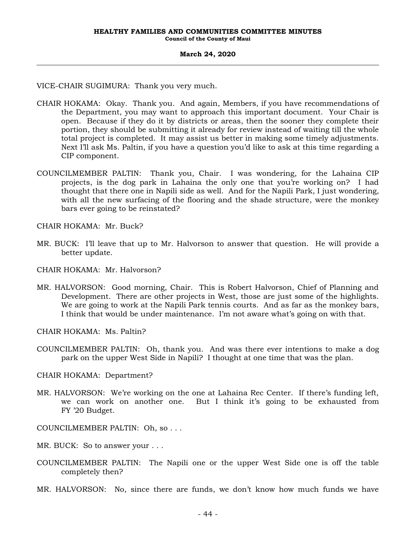VICE-CHAIR SUGIMURA: Thank you very much.

- CHAIR HOKAMA: Okay. Thank you. And again, Members, if you have recommendations of the Department, you may want to approach this important document. Your Chair is open. Because if they do it by districts or areas, then the sooner they complete their portion, they should be submitting it already for review instead of waiting till the whole total project is completed. It may assist us better in making some timely adjustments. Next I'll ask Ms. Paltin, if you have a question you'd like to ask at this time regarding a CIP component.
- COUNCILMEMBER PALTIN: Thank you, Chair. I was wondering, for the Lahaina CIP projects, is the dog park in Lahaina the only one that you're working on? I had thought that there one in Napili side as well. And for the Napili Park, I just wondering, with all the new surfacing of the flooring and the shade structure, were the monkey bars ever going to be reinstated?

CHAIR HOKAMA: Mr. Buck?

MR. BUCK: I'll leave that up to Mr. Halvorson to answer that question. He will provide a better update.

CHAIR HOKAMA: Mr. Halvorson?

MR. HALVORSON: Good morning, Chair. This is Robert Halvorson, Chief of Planning and Development. There are other projects in West, those are just some of the highlights. We are going to work at the Napili Park tennis courts. And as far as the monkey bars, I think that would be under maintenance. I'm not aware what's going on with that.

CHAIR HOKAMA: Ms. Paltin?

COUNCILMEMBER PALTIN: Oh, thank you. And was there ever intentions to make a dog park on the upper West Side in Napili? I thought at one time that was the plan.

CHAIR HOKAMA: Department?

- MR. HALVORSON: We're working on the one at Lahaina Rec Center. If there's funding left, we can work on another one. But I think it's going to be exhausted from FY '20 Budget.
- COUNCILMEMBER PALTIN: Oh, so . . .
- MR. BUCK: So to answer your . . .
- COUNCILMEMBER PALTIN: The Napili one or the upper West Side one is off the table completely then?
- MR. HALVORSON: No, since there are funds, we don't know how much funds we have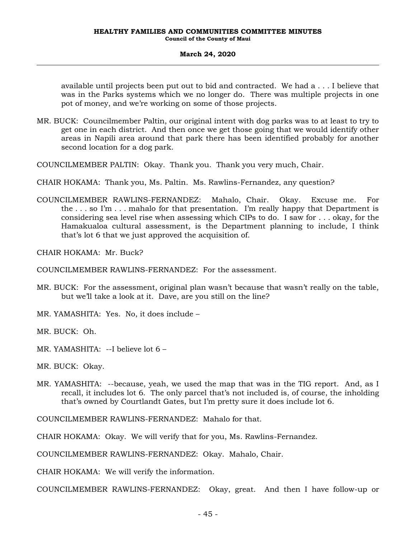available until projects been put out to bid and contracted. We had a . . . I believe that was in the Parks systems which we no longer do. There was multiple projects in one pot of money, and we're working on some of those projects.

- MR. BUCK: Councilmember Paltin, our original intent with dog parks was to at least to try to get one in each district. And then once we get those going that we would identify other areas in Napili area around that park there has been identified probably for another second location for a dog park.
- COUNCILMEMBER PALTIN: Okay. Thank you. Thank you very much, Chair.
- CHAIR HOKAMA: Thank you, Ms. Paltin. Ms. Rawlins-Fernandez, any question?
- COUNCILMEMBER RAWLINS-FERNANDEZ: Mahalo, Chair. Okay. Excuse me. For the  $\ldots$  so I'm  $\ldots$  mahalo for that presentation. I'm really happy that Department is considering sea level rise when assessing which CIPs to do. I saw for . . . okay, for the Hamakualoa cultural assessment, is the Department planning to include, I think that's lot 6 that we just approved the acquisition of.

CHAIR HOKAMA: Mr. Buck?

COUNCILMEMBER RAWLINS-FERNANDEZ: For the assessment.

- MR. BUCK: For the assessment, original plan wasn't because that wasn't really on the table, but we'll take a look at it. Dave, are you still on the line?
- MR. YAMASHITA: Yes. No, it does include –

MR. BUCK: Oh.

MR. YAMASHITA: --I believe lot 6 –

MR. BUCK: Okay.

MR. YAMASHITA: --because, yeah, we used the map that was in the TIG report. And, as I recall, it includes lot 6. The only parcel that's not included is, of course, the inholding that's owned by Courtlandt Gates, but I'm pretty sure it does include lot 6.

COUNCILMEMBER RAWLINS-FERNANDEZ: Mahalo for that.

CHAIR HOKAMA: Okay. We will verify that for you, Ms. Rawlins-Fernandez.

COUNCILMEMBER RAWLINS-FERNANDEZ: Okay. Mahalo, Chair.

CHAIR HOKAMA: We will verify the information.

COUNCILMEMBER RAWLINS-FERNANDEZ: Okay, great. And then I have follow-up or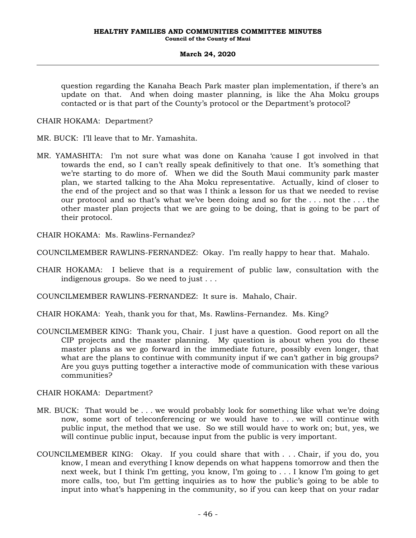question regarding the Kanaha Beach Park master plan implementation, if there's an update on that. And when doing master planning, is like the Aha Moku groups contacted or is that part of the County's protocol or the Department's protocol?

CHAIR HOKAMA: Department?

- MR. BUCK: I'll leave that to Mr. Yamashita.
- MR. YAMASHITA: I'm not sure what was done on Kanaha 'cause I got involved in that towards the end, so I can't really speak definitively to that one. It's something that we're starting to do more of. When we did the South Maui community park master plan, we started talking to the Aha Moku representative. Actually, kind of closer to the end of the project and so that was I think a lesson for us that we needed to revise our protocol and so that's what we've been doing and so for the . . . not the . . . the other master plan projects that we are going to be doing, that is going to be part of their protocol.
- CHAIR HOKAMA: Ms. Rawlins-Fernandez?

COUNCILMEMBER RAWLINS-FERNANDEZ: Okay. I'm really happy to hear that. Mahalo.

- CHAIR HOKAMA: I believe that is a requirement of public law, consultation with the indigenous groups. So we need to just . . .
- COUNCILMEMBER RAWLINS-FERNANDEZ: It sure is. Mahalo, Chair.
- CHAIR HOKAMA: Yeah, thank you for that, Ms. Rawlins-Fernandez. Ms. King?
- COUNCILMEMBER KING: Thank you, Chair. I just have a question. Good report on all the CIP projects and the master planning. My question is about when you do these master plans as we go forward in the immediate future, possibly even longer, that what are the plans to continue with community input if we can't gather in big groups? Are you guys putting together a interactive mode of communication with these various communities?

### CHAIR HOKAMA: Department?

- MR. BUCK: That would be . . . we would probably look for something like what we're doing now, some sort of teleconferencing or we would have to . . . we will continue with public input, the method that we use. So we still would have to work on; but, yes, we will continue public input, because input from the public is very important.
- COUNCILMEMBER KING: Okay. If you could share that with . . . Chair, if you do, you know, I mean and everything I know depends on what happens tomorrow and then the next week, but I think I'm getting, you know, I'm going to . . . I know I'm going to get more calls, too, but I'm getting inquiries as to how the public's going to be able to input into what's happening in the community, so if you can keep that on your radar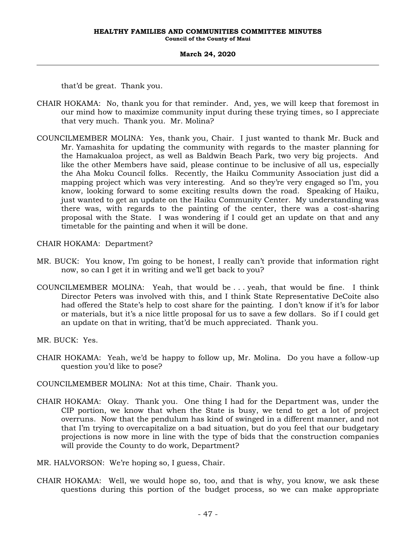that'd be great. Thank you.

- CHAIR HOKAMA: No, thank you for that reminder. And, yes, we will keep that foremost in our mind how to maximize community input during these trying times, so I appreciate that very much. Thank you. Mr. Molina?
- COUNCILMEMBER MOLINA: Yes, thank you, Chair. I just wanted to thank Mr. Buck and Mr. Yamashita for updating the community with regards to the master planning for the Hamakualoa project, as well as Baldwin Beach Park, two very big projects. And like the other Members have said, please continue to be inclusive of all us, especially the Aha Moku Council folks. Recently, the Haiku Community Association just did a mapping project which was very interesting. And so they're very engaged so I'm, you know, looking forward to some exciting results down the road. Speaking of Haiku, just wanted to get an update on the Haiku Community Center. My understanding was there was, with regards to the painting of the center, there was a cost-sharing proposal with the State. I was wondering if I could get an update on that and any timetable for the painting and when it will be done.

CHAIR HOKAMA: Department?

- MR. BUCK: You know, I'm going to be honest, I really can't provide that information right now, so can I get it in writing and we'll get back to you?
- COUNCILMEMBER MOLINA: Yeah, that would be . . . yeah, that would be fine. I think Director Peters was involved with this, and I think State Representative DeCoite also had offered the State's help to cost share for the painting. I don't know if it's for labor or materials, but it's a nice little proposal for us to save a few dollars. So if I could get an update on that in writing, that'd be much appreciated. Thank you.

MR. BUCK: Yes.

- CHAIR HOKAMA: Yeah, we'd be happy to follow up, Mr. Molina. Do you have a follow-up question you'd like to pose?
- COUNCILMEMBER MOLINA: Not at this time, Chair. Thank you.
- CHAIR HOKAMA: Okay. Thank you. One thing I had for the Department was, under the CIP portion, we know that when the State is busy, we tend to get a lot of project overruns. Now that the pendulum has kind of swinged in a different manner, and not that I'm trying to overcapitalize on a bad situation, but do you feel that our budgetary projections is now more in line with the type of bids that the construction companies will provide the County to do work, Department?
- MR. HALVORSON: We're hoping so, I guess, Chair.
- CHAIR HOKAMA: Well, we would hope so, too, and that is why, you know, we ask these questions during this portion of the budget process, so we can make appropriate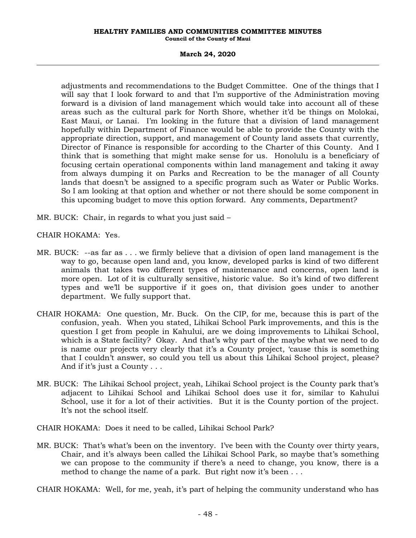### **March 24, 2020**

adjustments and recommendations to the Budget Committee. One of the things that I will say that I look forward to and that I'm supportive of the Administration moving forward is a division of land management which would take into account all of these areas such as the cultural park for North Shore, whether it'd be things on Molokai, East Maui, or Lanai. I'm looking in the future that a division of land management hopefully within Department of Finance would be able to provide the County with the appropriate direction, support, and management of County land assets that currently, Director of Finance is responsible for according to the Charter of this County. And I think that is something that might make sense for us. Honolulu is a beneficiary of focusing certain operational components within land management and taking it away from always dumping it on Parks and Recreation to be the manager of all County lands that doesn't be assigned to a specific program such as Water or Public Works. So I am looking at that option and whether or not there should be some component in this upcoming budget to move this option forward. Any comments, Department?

MR. BUCK: Chair, in regards to what you just said –

CHAIR HOKAMA: Yes.

- MR. BUCK: --as far as . . . we firmly believe that a division of open land management is the way to go, because open land and, you know, developed parks is kind of two different animals that takes two different types of maintenance and concerns, open land is more open. Lot of it is culturally sensitive, historic value. So it's kind of two different types and we'll be supportive if it goes on, that division goes under to another department. We fully support that.
- CHAIR HOKAMA: One question, Mr. Buck. On the CIP, for me, because this is part of the confusion, yeah. When you stated, Lihikai School Park improvements, and this is the question I get from people in Kahului, are we doing improvements to Lihikai School, which is a State facility? Okay. And that's why part of the maybe what we need to do is name our projects very clearly that it's a County project, 'cause this is something that I couldn't answer, so could you tell us about this Lihikai School project, please? And if it's just a County . . .
- MR. BUCK: The Lihikai School project, yeah, Lihikai School project is the County park that's adjacent to Lihikai School and Lihikai School does use it for, similar to Kahului School, use it for a lot of their activities. But it is the County portion of the project. It's not the school itself.

CHAIR HOKAMA: Does it need to be called, Lihikai School Park?

MR. BUCK: That's what's been on the inventory. I've been with the County over thirty years, Chair, and it's always been called the Lihikai School Park, so maybe that's something we can propose to the community if there's a need to change, you know, there is a method to change the name of a park. But right now it's been . . .

CHAIR HOKAMA: Well, for me, yeah, it's part of helping the community understand who has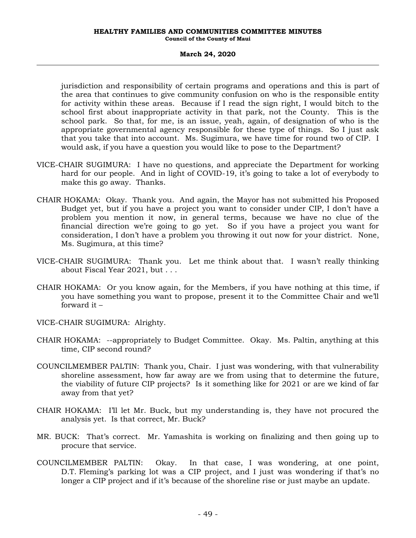jurisdiction and responsibility of certain programs and operations and this is part of the area that continues to give community confusion on who is the responsible entity for activity within these areas. Because if I read the sign right, I would bitch to the school first about inappropriate activity in that park, not the County. This is the school park. So that, for me, is an issue, yeah, again, of designation of who is the appropriate governmental agency responsible for these type of things. So I just ask that you take that into account. Ms. Sugimura, we have time for round two of CIP. I would ask, if you have a question you would like to pose to the Department?

- VICE-CHAIR SUGIMURA: I have no questions, and appreciate the Department for working hard for our people. And in light of COVID-19, it's going to take a lot of everybody to make this go away. Thanks.
- CHAIR HOKAMA: Okay. Thank you. And again, the Mayor has not submitted his Proposed Budget yet, but if you have a project you want to consider under CIP, I don't have a problem you mention it now, in general terms, because we have no clue of the financial direction we're going to go yet. So if you have a project you want for consideration, I don't have a problem you throwing it out now for your district. None, Ms. Sugimura, at this time?
- VICE-CHAIR SUGIMURA: Thank you. Let me think about that. I wasn't really thinking about Fiscal Year 2021, but . . .
- CHAIR HOKAMA: Or you know again, for the Members, if you have nothing at this time, if you have something you want to propose, present it to the Committee Chair and we'll forward it –
- VICE-CHAIR SUGIMURA: Alrighty.
- CHAIR HOKAMA: --appropriately to Budget Committee. Okay. Ms. Paltin, anything at this time, CIP second round?
- COUNCILMEMBER PALTIN: Thank you, Chair. I just was wondering, with that vulnerability shoreline assessment, how far away are we from using that to determine the future, the viability of future CIP projects? Is it something like for 2021 or are we kind of far away from that yet?
- CHAIR HOKAMA: I'll let Mr. Buck, but my understanding is, they have not procured the analysis yet. Is that correct, Mr. Buck?
- MR. BUCK: That's correct. Mr. Yamashita is working on finalizing and then going up to procure that service.
- COUNCILMEMBER PALTIN: Okay. In that case, I was wondering, at one point, D.T. Fleming's parking lot was a CIP project, and I just was wondering if that's no longer a CIP project and if it's because of the shoreline rise or just maybe an update.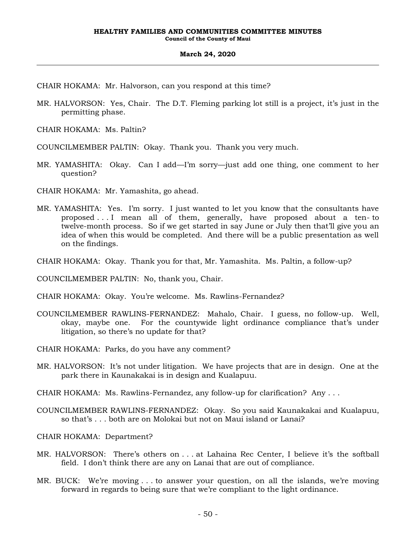CHAIR HOKAMA: Mr. Halvorson, can you respond at this time?

MR. HALVORSON: Yes, Chair. The D.T. Fleming parking lot still is a project, it's just in the permitting phase.

CHAIR HOKAMA: Ms. Paltin?

- COUNCILMEMBER PALTIN: Okay. Thank you. Thank you very much.
- MR. YAMASHITA: Okay. Can I add—I'm sorry—just add one thing, one comment to her question?
- CHAIR HOKAMA: Mr. Yamashita, go ahead.
- MR. YAMASHITA: Yes. I'm sorry. I just wanted to let you know that the consultants have proposed . . . I mean all of them, generally, have proposed about a ten- to twelve-month process. So if we get started in say June or July then that'll give you an idea of when this would be completed. And there will be a public presentation as well on the findings.
- CHAIR HOKAMA: Okay. Thank you for that, Mr. Yamashita. Ms. Paltin, a follow-up?

COUNCILMEMBER PALTIN: No, thank you, Chair.

- CHAIR HOKAMA: Okay. You're welcome. Ms. Rawlins-Fernandez?
- COUNCILMEMBER RAWLINS-FERNANDEZ: Mahalo, Chair. I guess, no follow-up. Well, okay, maybe one. For the countywide light ordinance compliance that's under litigation, so there's no update for that?
- CHAIR HOKAMA: Parks, do you have any comment?
- MR. HALVORSON: It's not under litigation. We have projects that are in design. One at the park there in Kaunakakai is in design and Kualapuu.
- CHAIR HOKAMA: Ms. Rawlins-Fernandez, any follow-up for clarification? Any . . .
- COUNCILMEMBER RAWLINS-FERNANDEZ: Okay. So you said Kaunakakai and Kualapuu, so that's . . . both are on Molokai but not on Maui island or Lanai?

CHAIR HOKAMA: Department?

- MR. HALVORSON: There's others on . . . at Lahaina Rec Center, I believe it's the softball field. I don't think there are any on Lanai that are out of compliance.
- MR. BUCK: We're moving . . . to answer your question, on all the islands, we're moving forward in regards to being sure that we're compliant to the light ordinance.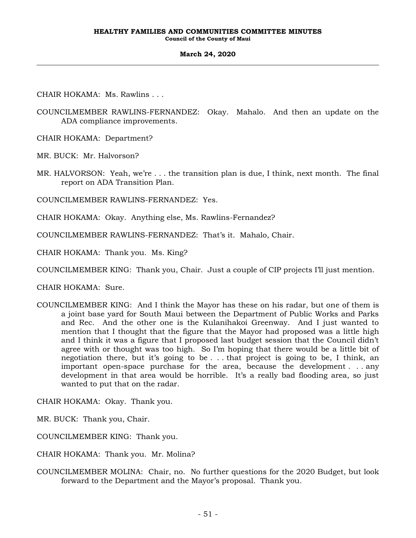CHAIR HOKAMA: Ms. Rawlins . . .

COUNCILMEMBER RAWLINS-FERNANDEZ: Okay. Mahalo. And then an update on the ADA compliance improvements.

CHAIR HOKAMA: Department?

MR. BUCK: Mr. Halvorson?

MR. HALVORSON: Yeah, we're . . . the transition plan is due, I think, next month. The final report on ADA Transition Plan.

COUNCILMEMBER RAWLINS-FERNANDEZ: Yes.

CHAIR HOKAMA: Okay. Anything else, Ms. Rawlins-Fernandez?

COUNCILMEMBER RAWLINS-FERNANDEZ: That's it. Mahalo, Chair.

CHAIR HOKAMA: Thank you. Ms. King?

COUNCILMEMBER KING: Thank you, Chair. Just a couple of CIP projects I'll just mention.

CHAIR HOKAMA: Sure.

COUNCILMEMBER KING: And I think the Mayor has these on his radar, but one of them is a joint base yard for South Maui between the Department of Public Works and Parks and Rec. And the other one is the Kulanihakoi Greenway. And I just wanted to mention that I thought that the figure that the Mayor had proposed was a little high and I think it was a figure that I proposed last budget session that the Council didn't agree with or thought was too high. So I'm hoping that there would be a little bit of negotiation there, but it's going to be . . . that project is going to be, I think, an important open-space purchase for the area, because the development . . . any development in that area would be horrible. It's a really bad flooding area, so just wanted to put that on the radar.

CHAIR HOKAMA: Okay. Thank you.

MR. BUCK: Thank you, Chair.

COUNCILMEMBER KING: Thank you.

CHAIR HOKAMA: Thank you. Mr. Molina?

COUNCILMEMBER MOLINA: Chair, no. No further questions for the 2020 Budget, but look forward to the Department and the Mayor's proposal. Thank you.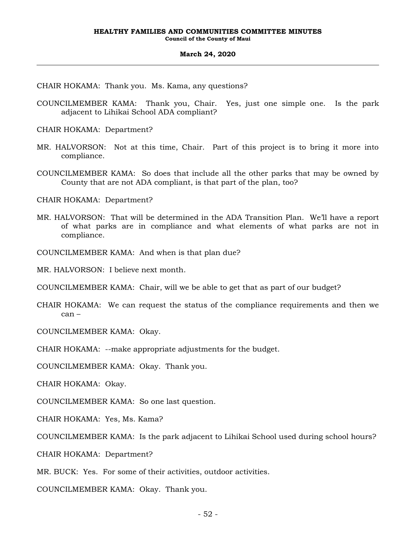CHAIR HOKAMA: Thank you. Ms. Kama, any questions?

COUNCILMEMBER KAMA: Thank you, Chair. Yes, just one simple one. Is the park adjacent to Lihikai School ADA compliant?

CHAIR HOKAMA: Department?

- MR. HALVORSON: Not at this time, Chair. Part of this project is to bring it more into compliance.
- COUNCILMEMBER KAMA: So does that include all the other parks that may be owned by County that are not ADA compliant, is that part of the plan, too?

CHAIR HOKAMA: Department?

- MR. HALVORSON: That will be determined in the ADA Transition Plan. We'll have a report of what parks are in compliance and what elements of what parks are not in compliance.
- COUNCILMEMBER KAMA: And when is that plan due?

MR. HALVORSON: I believe next month.

- COUNCILMEMBER KAMA: Chair, will we be able to get that as part of our budget?
- CHAIR HOKAMA: We can request the status of the compliance requirements and then we can –
- COUNCILMEMBER KAMA: Okay.
- CHAIR HOKAMA: --make appropriate adjustments for the budget.
- COUNCILMEMBER KAMA: Okay. Thank you.

CHAIR HOKAMA: Okay.

COUNCILMEMBER KAMA: So one last question.

CHAIR HOKAMA: Yes, Ms. Kama?

COUNCILMEMBER KAMA: Is the park adjacent to Lihikai School used during school hours?

CHAIR HOKAMA: Department?

MR. BUCK: Yes. For some of their activities, outdoor activities.

COUNCILMEMBER KAMA: Okay. Thank you.